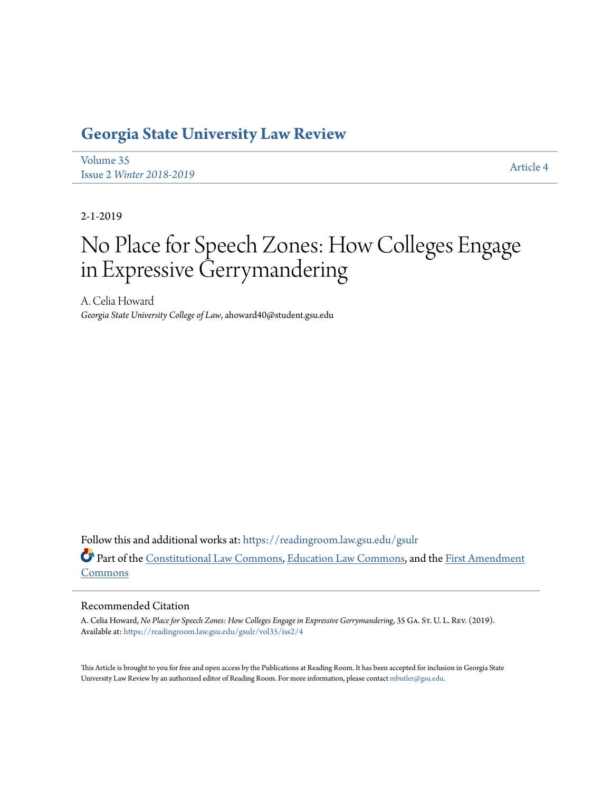## **[Georgia State University Law Review](https://readingroom.law.gsu.edu/gsulr?utm_source=readingroom.law.gsu.edu%2Fgsulr%2Fvol35%2Fiss2%2F4&utm_medium=PDF&utm_campaign=PDFCoverPages)**

[Volume 35](https://readingroom.law.gsu.edu/gsulr/vol35?utm_source=readingroom.law.gsu.edu%2Fgsulr%2Fvol35%2Fiss2%2F4&utm_medium=PDF&utm_campaign=PDFCoverPages) Issue 2 *[Winter 2018-2019](https://readingroom.law.gsu.edu/gsulr/vol35/iss2?utm_source=readingroom.law.gsu.edu%2Fgsulr%2Fvol35%2Fiss2%2F4&utm_medium=PDF&utm_campaign=PDFCoverPages)* [Article 4](https://readingroom.law.gsu.edu/gsulr/vol35/iss2/4?utm_source=readingroom.law.gsu.edu%2Fgsulr%2Fvol35%2Fiss2%2F4&utm_medium=PDF&utm_campaign=PDFCoverPages)

2-1-2019

# No Place for Speech Zones: How Colleges Engage in Expressive Gerrymandering

A. Celia Howard *Georgia State University College of Law*, ahoward40@student.gsu.edu

Follow this and additional works at: [https://readingroom.law.gsu.edu/gsulr](https://readingroom.law.gsu.edu/gsulr?utm_source=readingroom.law.gsu.edu%2Fgsulr%2Fvol35%2Fiss2%2F4&utm_medium=PDF&utm_campaign=PDFCoverPages) Part of the [Constitutional Law Commons,](http://network.bepress.com/hgg/discipline/589?utm_source=readingroom.law.gsu.edu%2Fgsulr%2Fvol35%2Fiss2%2F4&utm_medium=PDF&utm_campaign=PDFCoverPages) [Education Law Commons](http://network.bepress.com/hgg/discipline/596?utm_source=readingroom.law.gsu.edu%2Fgsulr%2Fvol35%2Fiss2%2F4&utm_medium=PDF&utm_campaign=PDFCoverPages), and the [First Amendment](http://network.bepress.com/hgg/discipline/1115?utm_source=readingroom.law.gsu.edu%2Fgsulr%2Fvol35%2Fiss2%2F4&utm_medium=PDF&utm_campaign=PDFCoverPages) [Commons](http://network.bepress.com/hgg/discipline/1115?utm_source=readingroom.law.gsu.edu%2Fgsulr%2Fvol35%2Fiss2%2F4&utm_medium=PDF&utm_campaign=PDFCoverPages)

### Recommended Citation

A. Celia Howard, *No Place for Speech Zones: How Colleges Engage in Expressive Gerrymandering*, 35 Ga. St. U. L. Rev. (2019). Available at: [https://readingroom.law.gsu.edu/gsulr/vol35/iss2/4](https://readingroom.law.gsu.edu/gsulr/vol35/iss2/4?utm_source=readingroom.law.gsu.edu%2Fgsulr%2Fvol35%2Fiss2%2F4&utm_medium=PDF&utm_campaign=PDFCoverPages)

This Article is brought to you for free and open access by the Publications at Reading Room. It has been accepted for inclusion in Georgia State University Law Review by an authorized editor of Reading Room. For more information, please contact [mbutler@gsu.edu.](mailto:mbutler@gsu.edu)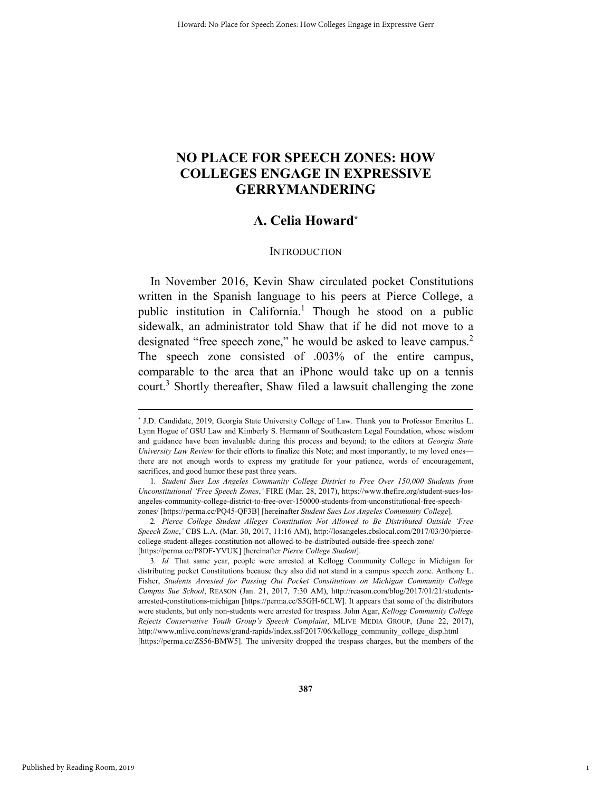### **NO PLACE FOR SPEECH ZONES: HOW COLLEGES ENGAGE IN EXPRESSIVE GERRYMANDERING**

### **A. Celia Howard\***

### **INTRODUCTION**

In November 2016, Kevin Shaw circulated pocket Constitutions written in the Spanish language to his peers at Pierce College, a public institution in California.<sup>1</sup> Though he stood on a public sidewalk, an administrator told Shaw that if he did not move to a designated "free speech zone," he would be asked to leave campus.<sup>2</sup> The speech zone consisted of .003% of the entire campus, comparable to the area that an iPhone would take up on a tennis court.<sup>3</sup> Shortly thereafter, Shaw filed a lawsuit challenging the zone

1

 <sup>\*</sup> \* J.D. Candidate, 2019, Georgia State University College of Law. Thank you to Professor Emeritus L. Lynn Hogue of GSU Law and Kimberly S. Hermann of Southeastern Legal Foundation, whose wisdom and guidance have been invaluable during this process and beyond; to the editors at *Georgia State University Law Review* for their efforts to finalize this Note; and most importantly, to my loved ones there are not enough words to express my gratitude for your patience, words of encouragement, sacrifices, and good humor these past three years.

<sup>1</sup>*. Student Sues Los Angeles Community College District to Free Over 150,000 Students from Unconstitutional 'Free Speech Zones*,*'* FIRE (Mar. 28, 2017), https://www.thefire.org/student-sues-losangeles-community-college-district-to-free-over-150000-students-from-unconstitutional-free-speechzones/ [https://perma.cc/PQ45-QF3B] [hereinafter *Student Sues Los Angeles Community College*].

<sup>2</sup>*. Pierce College Student Alleges Constitution Not Allowed to Be Distributed Outside 'Free Speech Zone*,*'* CBS L.A. (Mar. 30, 2017, 11:16 AM), http://losangeles.cbslocal.com/2017/03/30/piercecollege-student-alleges-constitution-not-allowed-to-be-distributed-outside-free-speech-zone/ [https://perma.cc/P8DF-YVUK] [hereinafter *Pierce College Student*].

<sup>3</sup>*. Id.* That same year, people were arrested at Kellogg Community College in Michigan for distributing pocket Constitutions because they also did not stand in a campus speech zone. Anthony L. Fisher, *Students Arrested for Passing Out Pocket Constitutions on Michigan Community College Campus Sue School*, REASON (Jan. 21, 2017, 7:30 AM), http://reason.com/blog/2017/01/21/studentsarrested-constitutions-michigan [https://perma.cc/S5GH-6CLW]. It appears that some of the distributors were students, but only non-students were arrested for trespass. John Agar, *Kellogg Community College Rejects Conservative Youth Group's Speech Complaint*, MLIVE MEDIA GROUP, (June 22, 2017), http://www.mlive.com/news/grand-rapids/index.ssf/2017/06/kellogg\_community\_college\_disp.html [https://perma.cc/ZS56-BMW5]. The university dropped the trespass charges, but the members of the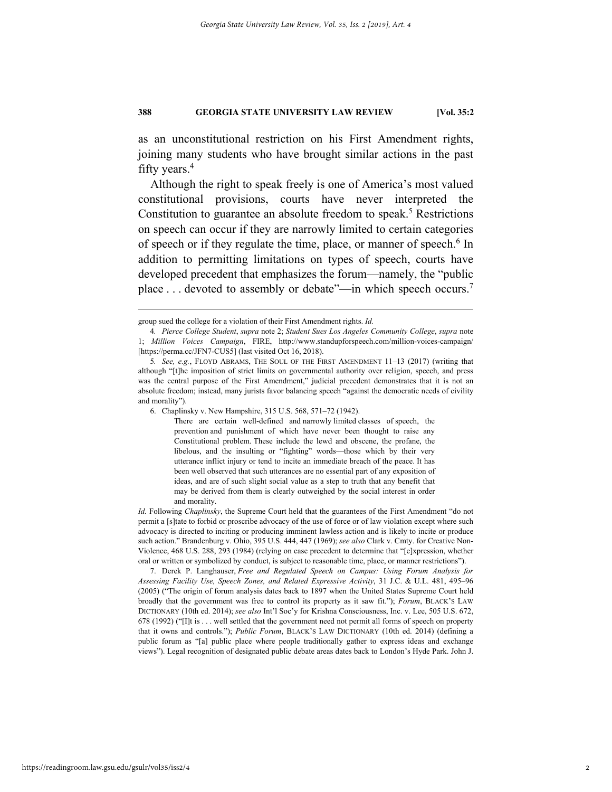as an unconstitutional restriction on his First Amendment rights, joining many students who have brought similar actions in the past fifty years.4

Although the right to speak freely is one of America's most valued constitutional provisions, courts have never interpreted the Constitution to guarantee an absolute freedom to speak.<sup>5</sup> Restrictions on speech can occur if they are narrowly limited to certain categories of speech or if they regulate the time, place, or manner of speech.<sup>6</sup> In addition to permitting limitations on types of speech, courts have developed precedent that emphasizes the forum—namely, the "public place . . . devoted to assembly or debate"—in which speech occurs.<sup>7</sup>

 7. Derek P. Langhauser, *Free and Regulated Speech on Campus: Using Forum Analysis for Assessing Facility Use, Speech Zones, and Related Expressive Activity*, 31 J.C. & U.L. 481, 495–96 (2005) ("The origin of forum analysis dates back to 1897 when the United States Supreme Court held broadly that the government was free to control its property as it saw fit."); *Forum*, BLACK'S LAW DICTIONARY (10th ed. 2014); *see also* Int'l Soc'y for Krishna Consciousness, Inc. v. Lee, 505 U.S. 672, 678 (1992) ("[I]t is . . . well settled that the government need not permit all forms of speech on property that it owns and controls."); *Public Forum*, BLACK'S LAW DICTIONARY (10th ed. 2014) (defining a public forum as "[a] public place where people traditionally gather to express ideas and exchange views"). Legal recognition of designated public debate areas dates back to London's Hyde Park. John J.

group sued the college for a violation of their First Amendment rights. *Id.*

<sup>4</sup>*. Pierce College Student*, *supra* note 2; *Student Sues Los Angeles Community College*, *supra* note 1; *Million Voices Campaign*, FIRE, http://www.standupforspeech.com/million-voices-campaign/ [https://perma.cc/JFN7-CUS5] (last visited Oct 16, 2018).

<sup>5</sup>*. See, e.g.*, FLOYD ABRAMS, THE SOUL OF THE FIRST AMENDMENT 11–13 (2017) (writing that although "[t]he imposition of strict limits on governmental authority over religion, speech, and press was the central purpose of the First Amendment," judicial precedent demonstrates that it is not an absolute freedom; instead, many jurists favor balancing speech "against the democratic needs of civility and morality").

 <sup>6.</sup> Chaplinsky v. New Hampshire, 315 U.S. 568, 571–72 (1942).

There are certain well-defined and narrowly limited classes of speech, the prevention and punishment of which have never been thought to raise any Constitutional problem. These include the lewd and obscene, the profane, the libelous, and the insulting or "fighting" words—those which by their very utterance inflict injury or tend to incite an immediate breach of the peace. It has been well observed that such utterances are no essential part of any exposition of ideas, and are of such slight social value as a step to truth that any benefit that may be derived from them is clearly outweighed by the social interest in order and morality.

*Id.* Following *Chaplinsky*, the Supreme Court held that the guarantees of the First Amendment "do not permit a [s]tate to forbid or proscribe advocacy of the use of force or of law violation except where such advocacy is directed to inciting or producing imminent lawless action and is likely to incite or produce such action." Brandenburg v. Ohio, 395 U.S. 444, 447 (1969); *see also* Clark v. Cmty. for Creative Non-Violence, 468 U.S. 288, 293 (1984) (relying on case precedent to determine that "[e]xpression, whether oral or written or symbolized by conduct, is subject to reasonable time, place, or manner restrictions").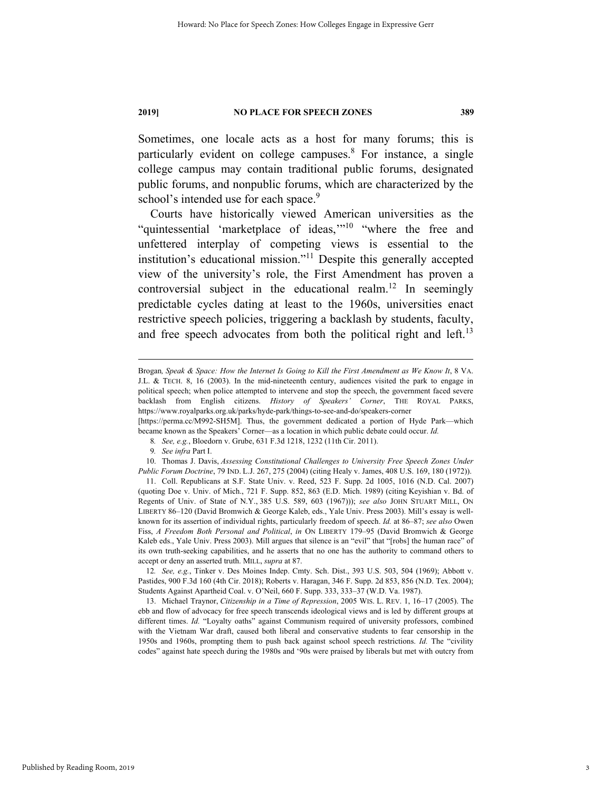Sometimes, one locale acts as a host for many forums; this is particularly evident on college campuses.<sup>8</sup> For instance, a single college campus may contain traditional public forums, designated public forums, and nonpublic forums, which are characterized by the school's intended use for each space.<sup>9</sup>

Courts have historically viewed American universities as the "quintessential 'marketplace of ideas,"<sup>10</sup> "where the free and unfettered interplay of competing views is essential to the institution's educational mission."<sup>11</sup> Despite this generally accepted view of the university's role, the First Amendment has proven a controversial subject in the educational realm.<sup>12</sup> In seemingly predictable cycles dating at least to the 1960s, universities enact restrictive speech policies, triggering a backlash by students, faculty, and free speech advocates from both the political right and left.<sup>13</sup>

[https://perma.cc/M992-SH5M]. Thus, the government dedicated a portion of Hyde Park—which became known as the Speakers' Corner—as a location in which public debate could occur. *Id.*

12*. See, e.g.*, Tinker v. Des Moines Indep. Cmty. Sch. Dist., 393 U.S. 503, 504 (1969); Abbott v. Pastides, 900 F.3d 160 (4th Cir. 2018); Roberts v. Haragan, 346 F. Supp. 2d 853, 856 (N.D. Tex. 2004); Students Against Apartheid Coal. v. O'Neil, 660 F. Supp. 333, 333–37 (W.D. Va. 1987).

 13. Michael Traynor, *Citizenship in a Time of Repression*, 2005 WIS. L. REV. 1, 16–17 (2005). The ebb and flow of advocacy for free speech transcends ideological views and is led by different groups at different times. *Id.* "Loyalty oaths" against Communism required of university professors, combined with the Vietnam War draft, caused both liberal and conservative students to fear censorship in the 1950s and 1960s, prompting them to push back against school speech restrictions. *Id.* The "civility codes" against hate speech during the 1980s and '90s were praised by liberals but met with outcry from

Brogan, Speak & Space: How the Internet Is Going to Kill the First Amendment as We Know It, 8 VA. J.L. & TECH. 8, 16 (2003). In the mid-nineteenth century, audiences visited the park to engage in political speech; when police attempted to intervene and stop the speech, the government faced severe backlash from English citizens. *History of Speakers' Corner*, THE ROYAL PARKS, https://www.royalparks.org.uk/parks/hyde-park/things-to-see-and-do/speakers-corner

<sup>8</sup>*. See, e.g.*, Bloedorn v. Grube, 631 F.3d 1218, 1232 (11th Cir. 2011).

<sup>9</sup>*. See infra* Part I.

 <sup>10.</sup> Thomas J. Davis, *Assessing Constitutional Challenges to University Free Speech Zones Under Public Forum Doctrine*, 79 IND. L.J. 267, 275 (2004) (citing Healy v. James, 408 U.S. 169, 180 (1972)).

 <sup>11.</sup> Coll. Republicans at S.F. State Univ. v. Reed, 523 F. Supp. 2d 1005, 1016 (N.D. Cal. 2007) (quoting Doe v. Univ. of Mich., 721 F. Supp. 852, 863 (E.D. Mich. 1989) (citing Keyishian v. Bd. of Regents of Univ. of State of N.Y., 385 U.S. 589, 603 (1967))); *see also* JOHN STUART MILL, ON LIBERTY 86–120 (David Bromwich & George Kaleb, eds., Yale Univ. Press 2003). Mill's essay is wellknown for its assertion of individual rights, particularly freedom of speech. *Id.* at 86–87; *see also* Owen Fiss, *A Freedom Both Personal and Political*, *in* ON LIBERTY 179–95 (David Bromwich & George Kaleb eds., Yale Univ. Press 2003). Mill argues that silence is an "evil" that "[robs] the human race" of its own truth-seeking capabilities, and he asserts that no one has the authority to command others to accept or deny an asserted truth. MILL, *supra* at 87.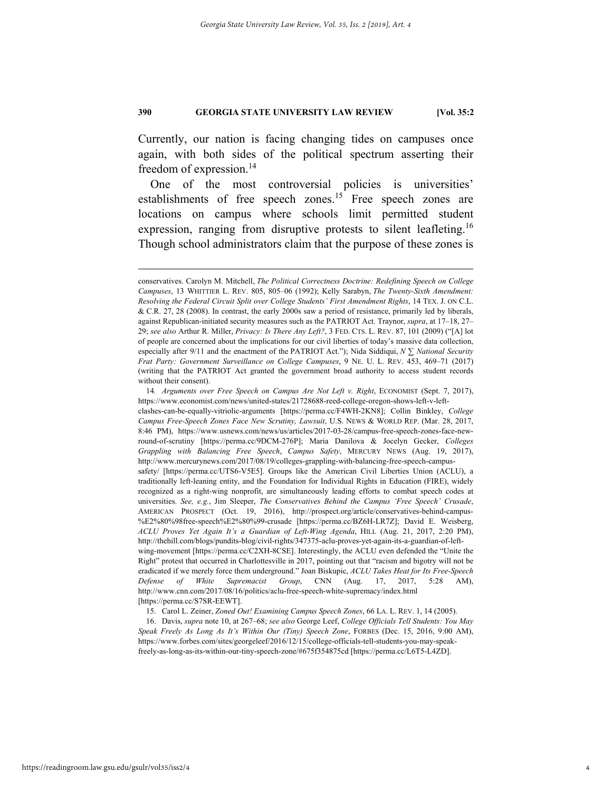Currently, our nation is facing changing tides on campuses once again, with both sides of the political spectrum asserting their freedom of expression.<sup>14</sup>

One of the most controversial policies is universities' establishments of free speech zones.<sup>15</sup> Free speech zones are locations on campus where schools limit permitted student expression, ranging from disruptive protests to silent leafleting.<sup>16</sup> Though school administrators claim that the purpose of these zones is

15. Carol L. Zeiner, *Zoned Out! Examining Campus Speech Zones*, 66 LA. L. REV. 1, 14 (2005).

 16. Davis, *supra* note 10, at 267–68; *see also* George Leef, *College Officials Tell Students: You May Speak Freely As Long As It's Within Our (Tiny) Speech Zone*, FORBES (Dec. 15, 2016, 9:00 AM), https://www.forbes.com/sites/georgeleef/2016/12/15/college-officials-tell-students-you-may-speakfreely-as-long-as-its-within-our-tiny-speech-zone/#675f354875cd [https://perma.cc/L6T5-L4ZD].

conservatives. Carolyn M. Mitchell, *The Political Correctness Doctrine: Redefining Speech on College Campuses*, 13 WHITTIER L. REV. 805, 805–06 (1992); Kelly Sarabyn, *The Twenty-Sixth Amendment: Resolving the Federal Circuit Split over College Students' First Amendment Rights*, 14 TEX. J. ON C.L. & C.R. 27, 28 (2008). In contrast, the early 2000s saw a period of resistance, primarily led by liberals, against Republican-initiated security measures such as the PATRIOT Act. Traynor, *supra*, at 17–18, 27– 29; *see also* Arthur R. Miller, *Privacy: Is There Any Left?*, 3 FED. CTS. L. REV. 87, 101 (2009) ("[A] lot of people are concerned about the implications for our civil liberties of today's massive data collection, especially after 9/11 and the enactment of the PATRIOT Act."); Nida Siddiqui, *N ∑ National Security Frat Party: Government Surveillance on College Campuses*, 9 NE. U. L. REV. 453, 469–71 (2017) (writing that the PATRIOT Act granted the government broad authority to access student records without their consent).

<sup>14.</sup> Arguments over Free Speech on Campus Are Not Left v. Right, ECONOMIST (Sept. 7, 2017), https://www.economist.com/news/united-states/21728688-reed-college-oregon-shows-left-v-leftclashes-can-be-equally-vitriolic-arguments [https://perma.cc/F4WH-2KN8]; Collin Binkley, *College Campus Free-Speech Zones Face New Scrutiny, Lawsuit*, U.S. NEWS & WORLD REP. (Mar. 28, 2017, 8:46 PM), https://www.usnews.com/news/us/articles/2017-03-28/campus-free-speech-zones-face-newround-of-scrutiny [https://perma.cc/9DCM-276P]; Maria Danilova & Jocelyn Gecker, *Colleges Grappling with Balancing Free Speech*, *Campus Safety*, MERCURY NEWS (Aug. 19, 2017), http://www.mercurynews.com/2017/08/19/colleges-grappling-with-balancing-free-speech-campussafety/ [https://perma.cc/UTS6-V5E5]. Groups like the American Civil Liberties Union (ACLU), a traditionally left-leaning entity, and the Foundation for Individual Rights in Education (FIRE), widely recognized as a right-wing nonprofit, are simultaneously leading efforts to combat speech codes at universities. *See, e.g.*, Jim Sleeper, *The Conservatives Behind the Campus 'Free Speech' Crusade*, AMERICAN PROSPECT (Oct. 19, 2016), http://prospect.org/article/conservatives-behind-campus- %E2%80%98free-speech%E2%80%99-crusade [https://perma.cc/BZ6H-LR7Z]; David E. Weisberg, *ACLU Proves Yet Again It's a Guardian of Left-Wing Agenda*, HILL (Aug. 21, 2017, 2:20 PM), http://thehill.com/blogs/pundits-blog/civil-rights/347375-aclu-proves-yet-again-its-a-guardian-of-leftwing-movement [https://perma.cc/C2XH-8CSE]. Interestingly, the ACLU even defended the "Unite the Right" protest that occurred in Charlottesville in 2017, pointing out that "racism and bigotry will not be eradicated if we merely force them underground." Joan Biskupic, *ACLU Takes Heat for Its Free-Speech Defense of White Supremacist Group*, CNN (Aug. 17, 2017, 5:28 AM), http://www.cnn.com/2017/08/16/politics/aclu-free-speech-white-supremacy/index.html [https://perma.cc/S7SR-EEWT].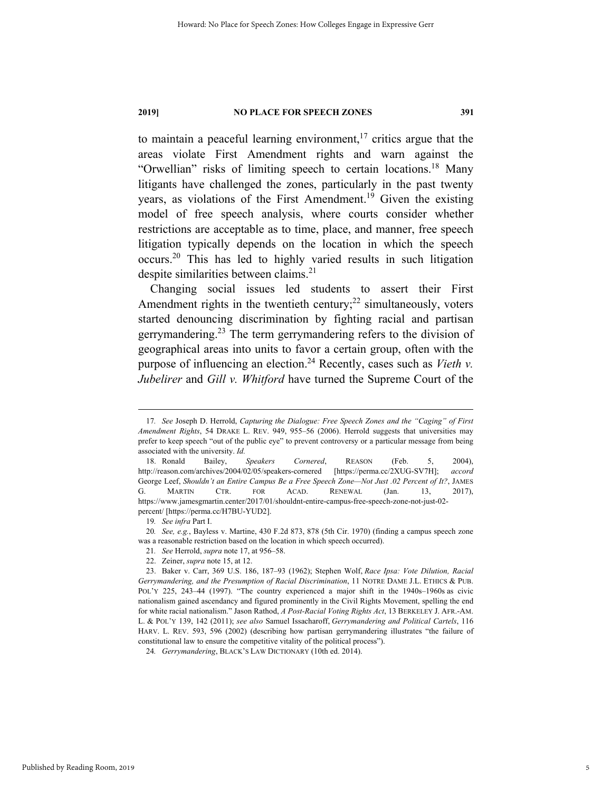to maintain a peaceful learning environment,<sup>17</sup> critics argue that the areas violate First Amendment rights and warn against the "Orwellian" risks of limiting speech to certain locations.<sup>18</sup> Many litigants have challenged the zones, particularly in the past twenty years, as violations of the First Amendment.<sup>19</sup> Given the existing model of free speech analysis, where courts consider whether restrictions are acceptable as to time, place, and manner, free speech litigation typically depends on the location in which the speech occurs.20 This has led to highly varied results in such litigation despite similarities between claims.<sup>21</sup>

Changing social issues led students to assert their First Amendment rights in the twentieth century; $^{22}$  simultaneously, voters started denouncing discrimination by fighting racial and partisan gerrymandering.<sup>23</sup> The term gerrymandering refers to the division of geographical areas into units to favor a certain group, often with the purpose of influencing an election.<sup>24</sup> Recently, cases such as *Vieth v*. *Jubelirer* and *Gill v. Whitford* have turned the Supreme Court of the

 <sup>17</sup>*. See* Joseph D. Herrold, *Capturing the Dialogue: Free Speech Zones and the "Caging" of First Amendment Rights*, 54 DRAKE L. REV. 949, 955–56 (2006). Herrold suggests that universities may prefer to keep speech "out of the public eye" to prevent controversy or a particular message from being associated with the university. *Id.*

 <sup>18.</sup> Ronald Bailey, *Speakers Cornered*, REASON (Feb. 5, 2004), http://reason.com/archives/2004/02/05/speakers-cornered [https://perma.cc/2XUG-SV7H]; *accord*  George Leef, *Shouldn't an Entire Campus Be a Free Speech Zone—Not Just .02 Percent of It?*, JAMES G. MARTIN CTR. FOR ACAD. RENEWAL (Jan. 13, 2017), https://www.jamesgmartin.center/2017/01/shouldnt-entire-campus-free-speech-zone-not-just-02 percent/ [https://perma.cc/H7BU-YUD2].

<sup>19</sup>*. See infra* Part I.

<sup>20</sup>*. See, e.g.*, Bayless v. Martine, 430 F.2d 873, 878 (5th Cir. 1970) (finding a campus speech zone was a reasonable restriction based on the location in which speech occurred).

<sup>21</sup>*. See* Herrold, *supra* note 17, at 956–58.

 <sup>22.</sup> Zeiner, *supra* note 15, at 12.

 <sup>23.</sup> Baker v. Carr, 369 U.S. 186, 187–93 (1962); Stephen Wolf, *Race Ipsa: Vote Dilution, Racial Gerrymandering, and the Presumption of Racial Discrimination*, 11 NOTRE DAME J.L. ETHICS & PUB. POL'Y 225, 243–44 (1997). "The country experienced a major shift in the 1940s–1960s as civic nationalism gained ascendancy and figured prominently in the Civil Rights Movement, spelling the end for white racial nationalism." Jason Rathod, *A Post-Racial Voting Rights Act*, 13 BERKELEY J. AFR.-AM. L. & POL'Y 139, 142 (2011); *see also* Samuel Issacharoff, *Gerrymandering and Political Cartels*, 116 HARV. L. REV. 593, 596 (2002) (describing how partisan gerrymandering illustrates "the failure of constitutional law to ensure the competitive vitality of the political process").

<sup>24</sup>*. Gerrymandering*, BLACK'S LAW DICTIONARY (10th ed. 2014).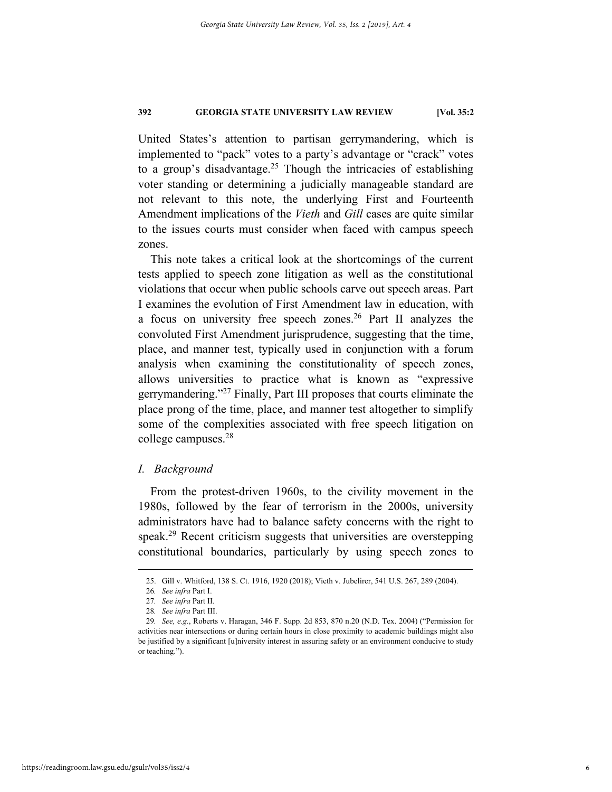United States's attention to partisan gerrymandering, which is implemented to "pack" votes to a party's advantage or "crack" votes to a group's disadvantage.<sup>25</sup> Though the intricacies of establishing voter standing or determining a judicially manageable standard are not relevant to this note, the underlying First and Fourteenth Amendment implications of the *Vieth* and *Gill* cases are quite similar to the issues courts must consider when faced with campus speech zones.

This note takes a critical look at the shortcomings of the current tests applied to speech zone litigation as well as the constitutional violations that occur when public schools carve out speech areas. Part I examines the evolution of First Amendment law in education, with a focus on university free speech zones.<sup>26</sup> Part II analyzes the convoluted First Amendment jurisprudence, suggesting that the time, place, and manner test, typically used in conjunction with a forum analysis when examining the constitutionality of speech zones, allows universities to practice what is known as "expressive gerrymandering."27 Finally, Part III proposes that courts eliminate the place prong of the time, place, and manner test altogether to simplify some of the complexities associated with free speech litigation on college campuses.28

### *I. Background*

From the protest-driven 1960s, to the civility movement in the 1980s, followed by the fear of terrorism in the 2000s, university administrators have had to balance safety concerns with the right to speak.<sup>29</sup> Recent criticism suggests that universities are overstepping constitutional boundaries, particularly by using speech zones to

 <sup>25.</sup> Gill v. Whitford, 138 S. Ct. 1916, 1920 (2018); Vieth v. Jubelirer, 541 U.S. 267, 289 (2004).

<sup>26</sup>*. See infra* Part I.

<sup>27</sup>*. See infra* Part II.

<sup>28</sup>*. See infra* Part III.

<sup>29</sup>*. See, e.g.*, Roberts v. Haragan, 346 F. Supp. 2d 853, 870 n.20 (N.D. Tex. 2004) ("Permission for activities near intersections or during certain hours in close proximity to academic buildings might also be justified by a significant [u]niversity interest in assuring safety or an environment conducive to study or teaching.").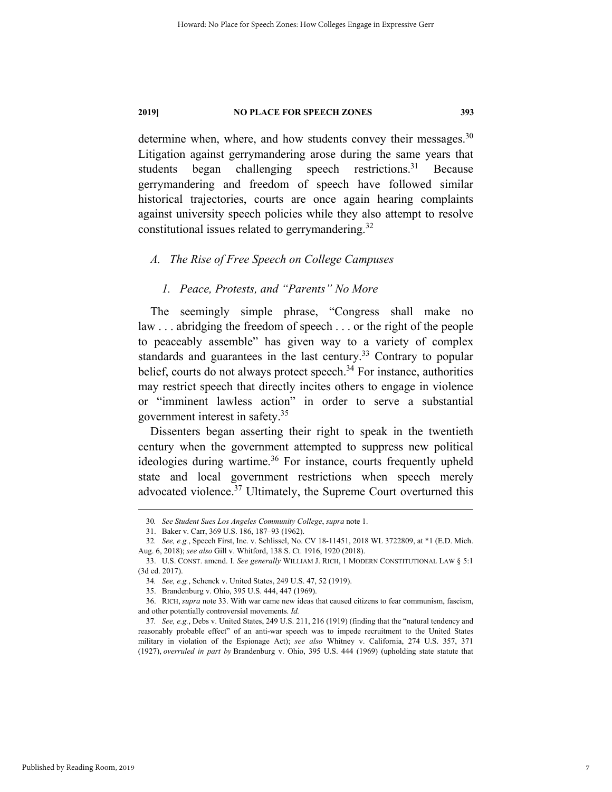determine when, where, and how students convey their messages.<sup>30</sup> Litigation against gerrymandering arose during the same years that students began challenging speech restrictions.<sup>31</sup> Because gerrymandering and freedom of speech have followed similar historical trajectories, courts are once again hearing complaints against university speech policies while they also attempt to resolve constitutional issues related to gerrymandering. $32$ 

### *A. The Rise of Free Speech on College Campuses*

### *1. Peace, Protests, and "Parents" No More*

The seemingly simple phrase, "Congress shall make no law . . . abridging the freedom of speech . . . or the right of the people to peaceably assemble" has given way to a variety of complex standards and guarantees in the last century.<sup>33</sup> Contrary to popular belief, courts do not always protect speech. $34$  For instance, authorities may restrict speech that directly incites others to engage in violence or "imminent lawless action" in order to serve a substantial government interest in safety.35

Dissenters began asserting their right to speak in the twentieth century when the government attempted to suppress new political ideologies during wartime. $36$  For instance, courts frequently upheld state and local government restrictions when speech merely advocated violence.<sup>37</sup> Ultimately, the Supreme Court overturned this

 <sup>30</sup>*. See Student Sues Los Angeles Community College*, *supra* note 1.

 <sup>31.</sup> Baker v. Carr, 369 U.S. 186, 187–93 (1962).

<sup>32</sup>*. See, e.g.*, Speech First, Inc. v. Schlissel, No. CV 18-11451, 2018 WL 3722809, at \*1 (E.D. Mich. Aug. 6, 2018); *see also* Gill v. Whitford, 138 S. Ct. 1916, 1920 (2018).

 <sup>33.</sup> U.S. CONST. amend. I. *See generally* WILLIAM J. RICH, 1 MODERN CONSTITUTIONAL LAW § 5:1 (3d ed. 2017).

<sup>34</sup>*. See, e.g.*, Schenck v. United States, 249 U.S. 47, 52 (1919).

 <sup>35.</sup> Brandenburg v. Ohio, 395 U.S. 444, 447 (1969).

 <sup>36.</sup> RICH, *supra* note 33. With war came new ideas that caused citizens to fear communism, fascism, and other potentially controversial movements. *Id.*

<sup>37</sup>*. See, e.g.*, Debs v. United States, 249 U.S. 211, 216 (1919) (finding that the "natural tendency and reasonably probable effect" of an anti-war speech was to impede recruitment to the United States military in violation of the Espionage Act); *see also* Whitney v. California, 274 U.S. 357, 371 (1927), *overruled in part by* Brandenburg v. Ohio, 395 U.S. 444 (1969) (upholding state statute that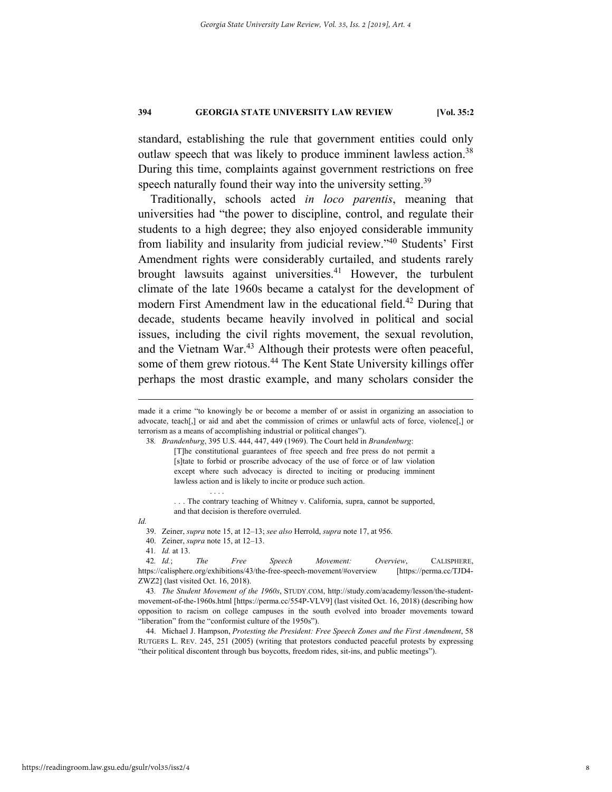standard, establishing the rule that government entities could only outlaw speech that was likely to produce imminent lawless action.<sup>38</sup> During this time, complaints against government restrictions on free speech naturally found their way into the university setting.<sup>39</sup>

Traditionally, schools acted *in loco parentis*, meaning that universities had "the power to discipline, control, and regulate their students to a high degree; they also enjoyed considerable immunity from liability and insularity from judicial review."40 Students' First Amendment rights were considerably curtailed, and students rarely brought lawsuits against universities.<sup>41</sup> However, the turbulent climate of the late 1960s became a catalyst for the development of modern First Amendment law in the educational field.<sup>42</sup> During that decade, students became heavily involved in political and social issues, including the civil rights movement, the sexual revolution, and the Vietnam War.<sup>43</sup> Although their protests were often peaceful, some of them grew riotous.<sup>44</sup> The Kent State University killings offer perhaps the most drastic example, and many scholars consider the

*Id.* 

. . . .

made it a crime "to knowingly be or become a member of or assist in organizing an association to advocate, teach[,] or aid and abet the commission of crimes or unlawful acts of force, violence[,] or terrorism as a means of accomplishing industrial or political changes").

<sup>38</sup>*. Brandenburg*, 395 U.S. 444, 447, 449 (1969). The Court held in *Brandenburg*:

<sup>[</sup>T]he constitutional guarantees of free speech and free press do not permit a [s]tate to forbid or proscribe advocacy of the use of force or of law violation except where such advocacy is directed to inciting or producing imminent lawless action and is likely to incite or produce such action.

<sup>. . .</sup> The contrary teaching of Whitney v. California, supra, cannot be supported, and that decision is therefore overruled.

 <sup>39.</sup> Zeiner, *supra* note 15, at 12–13; *see also* Herrold, *supra* note 17, at 956.

 <sup>40.</sup> Zeiner, *supra* note 15, at 12–13.

<sup>41</sup>*. Id.* at 13.

<sup>42</sup>*. Id.*; *The Free Speech Movement: Overview*, CALISPHERE, https://calisphere.org/exhibitions/43/the-free-speech-movement/#overview [https://perma.cc/TJD4- ZWZ2] (last visited Oct. 16, 2018).

<sup>43</sup>*. The Student Movement of the 1960s*, STUDY.COM, http://study.com/academy/lesson/the-studentmovement-of-the-1960s.html [https://perma.cc/554P-VLV9] (last visited Oct. 16, 2018) (describing how opposition to racism on college campuses in the south evolved into broader movements toward "liberation" from the "conformist culture of the 1950s").

 <sup>44.</sup> Michael J. Hampson, *Protesting the President: Free Speech Zones and the First Amendment*, 58 RUTGERS L. REV. 245, 251 (2005) (writing that protestors conducted peaceful protests by expressing "their political discontent through bus boycotts, freedom rides, sit-ins, and public meetings").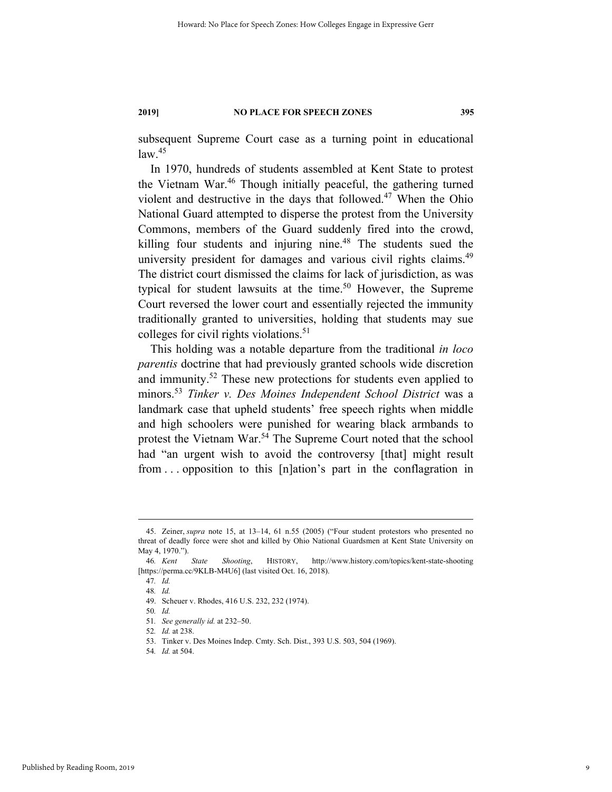subsequent Supreme Court case as a turning point in educational  $law.<sup>45</sup>$ 

In 1970, hundreds of students assembled at Kent State to protest the Vietnam War.<sup>46</sup> Though initially peaceful, the gathering turned violent and destructive in the days that followed.<sup>47</sup> When the Ohio National Guard attempted to disperse the protest from the University Commons, members of the Guard suddenly fired into the crowd, killing four students and injuring nine. $48$  The students sued the university president for damages and various civil rights claims.<sup>49</sup> The district court dismissed the claims for lack of jurisdiction, as was typical for student lawsuits at the time.<sup>50</sup> However, the Supreme Court reversed the lower court and essentially rejected the immunity traditionally granted to universities, holding that students may sue colleges for civil rights violations.<sup>51</sup>

This holding was a notable departure from the traditional *in loco parentis* doctrine that had previously granted schools wide discretion and immunity.<sup>52</sup> These new protections for students even applied to minors.<sup>53</sup> *Tinker v. Des Moines Independent School District* was a landmark case that upheld students' free speech rights when middle and high schoolers were punished for wearing black armbands to protest the Vietnam War.<sup>54</sup> The Supreme Court noted that the school had "an urgent wish to avoid the controversy [that] might result from . . . opposition to this [n]ation's part in the conflagration in

 <sup>45.</sup> Zeiner, *supra* note 15, at 13–14, 61 n.55 (2005) ("Four student protestors who presented no threat of deadly force were shot and killed by Ohio National Guardsmen at Kent State University on May 4, 1970.").

<sup>46</sup>*. Kent State Shooting*, HISTORY, http://www.history.com/topics/kent-state-shooting [https://perma.cc/9KLB-M4U6] (last visited Oct. 16, 2018).

<sup>47</sup>*. Id.* 48*. Id.*

 <sup>49.</sup> Scheuer v. Rhodes, 416 U.S. 232, 232 (1974).

<sup>50</sup>*. Id.*

<sup>51</sup>*. See generally id.* at 232–50.

<sup>52</sup>*. Id.* at 238.

 <sup>53.</sup> Tinker v. Des Moines Indep. Cmty. Sch. Dist., 393 U.S. 503, 504 (1969).

<sup>54</sup>*. Id.* at 504.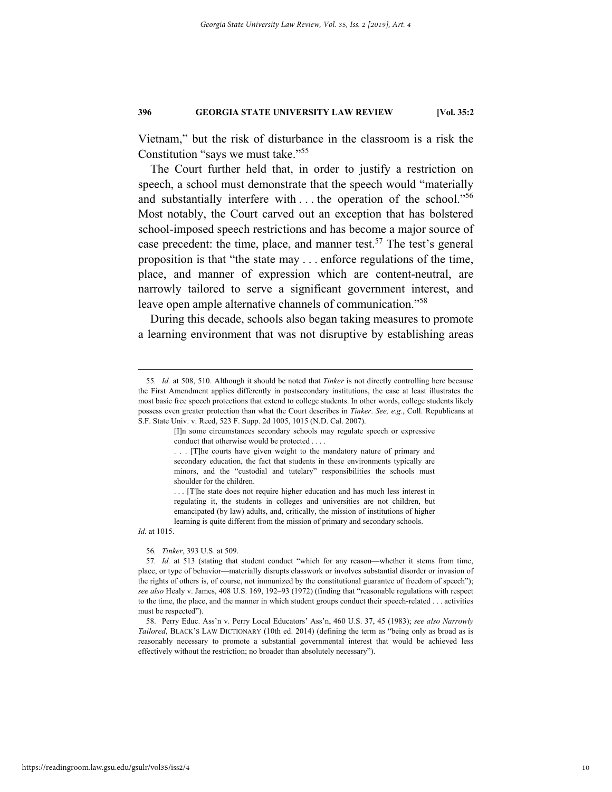Vietnam," but the risk of disturbance in the classroom is a risk the Constitution "says we must take."55

The Court further held that, in order to justify a restriction on speech, a school must demonstrate that the speech would "materially and substantially interfere with  $\dots$  the operation of the school."<sup>56</sup> Most notably, the Court carved out an exception that has bolstered school-imposed speech restrictions and has become a major source of case precedent: the time, place, and manner test.<sup>57</sup> The test's general proposition is that "the state may . . . enforce regulations of the time, place, and manner of expression which are content-neutral, are narrowly tailored to serve a significant government interest, and leave open ample alternative channels of communication."58

During this decade, schools also began taking measures to promote a learning environment that was not disruptive by establishing areas

*Id.* at 1015.

#### 56*. Tinker*, 393 U.S. at 509.

 <sup>55</sup>*. Id.* at 508, 510. Although it should be noted that *Tinker* is not directly controlling here because the First Amendment applies differently in postsecondary institutions, the case at least illustrates the most basic free speech protections that extend to college students. In other words, college students likely possess even greater protection than what the Court describes in *Tinker*. *See, e.g.*, Coll. Republicans at S.F. State Univ. v. Reed, 523 F. Supp. 2d 1005, 1015 (N.D. Cal. 2007).

<sup>[</sup>I]n some circumstances secondary schools may regulate speech or expressive conduct that otherwise would be protected . . . .

<sup>. . . [</sup>T]he courts have given weight to the mandatory nature of primary and secondary education, the fact that students in these environments typically are minors, and the "custodial and tutelary" responsibilities the schools must shoulder for the children.

<sup>. . . [</sup>T]he state does not require higher education and has much less interest in regulating it, the students in colleges and universities are not children, but emancipated (by law) adults, and, critically, the mission of institutions of higher learning is quite different from the mission of primary and secondary schools.

<sup>57</sup>*. Id.* at 513 (stating that student conduct "which for any reason—whether it stems from time, place, or type of behavior—materially disrupts classwork or involves substantial disorder or invasion of the rights of others is, of course, not immunized by the constitutional guarantee of freedom of speech"); *see also* Healy v. James, 408 U.S. 169, 192–93 (1972) (finding that "reasonable regulations with respect to the time, the place, and the manner in which student groups conduct their speech-related . . . activities must be respected").

 <sup>58.</sup> Perry Educ. Ass'n v. Perry Local Educators' Ass'n, 460 U.S. 37, 45 (1983); *see also Narrowly Tailored*, BLACK'S LAW DICTIONARY (10th ed. 2014) (defining the term as "being only as broad as is reasonably necessary to promote a substantial governmental interest that would be achieved less effectively without the restriction; no broader than absolutely necessary").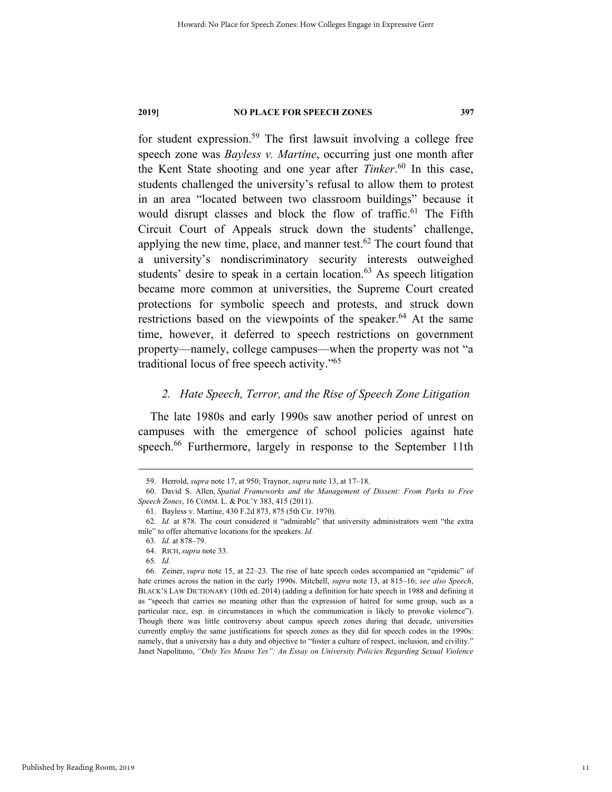for student expression.59 The first lawsuit involving a college free speech zone was *Bayless v. Martine*, occurring just one month after the Kent State shooting and one year after *Tinker*. 60 In this case, students challenged the university's refusal to allow them to protest in an area "located between two classroom buildings" because it would disrupt classes and block the flow of traffic.<sup>61</sup> The Fifth Circuit Court of Appeals struck down the students' challenge, applying the new time, place, and manner test.<sup>62</sup> The court found that a university's nondiscriminatory security interests outweighed students' desire to speak in a certain location. $63$  As speech litigation became more common at universities, the Supreme Court created protections for symbolic speech and protests, and struck down restrictions based on the viewpoints of the speaker.<sup>64</sup> At the same time, however, it deferred to speech restrictions on government property—namely, college campuses—when the property was not "a traditional locus of free speech activity."65

### *2. Hate Speech, Terror, and the Rise of Speech Zone Litigation*

The late 1980s and early 1990s saw another period of unrest on campuses with the emergence of school policies against hate speech.<sup>66</sup> Furthermore, largely in response to the September 11th

 <sup>59.</sup> Herrold, *supra* note 17, at 950; Traynor, *supra* note 13, at 17–18.

 <sup>60.</sup> David S. Allen, *Spatial Frameworks and the Management of Dissent: From Parks to Free Speech Zones*, 16 COMM. L. & POL'Y 383, 415 (2011).

 <sup>61.</sup> Bayless v. Martine, 430 F.2d 873, 875 (5th Cir. 1970).

<sup>62</sup>*. Id.* at 878. The court considered it "admirable" that university administrators went "the extra mile" to offer alternative locations for the speakers. *Id.*

<sup>63</sup>*. Id.* at 878–79.

 <sup>64.</sup> RICH, *supra* note 33.

<sup>65</sup>*. Id.*

 <sup>66.</sup> Zeiner, *supra* note 15, at 22–23. The rise of hate speech codes accompanied an "epidemic" of hate crimes across the nation in the early 1990s. Mitchell, *supra* note 13, at 815–16; *see also Speech*, BLACK'S LAW DICTIONARY (10th ed. 2014) (adding a definition for hate speech in 1988 and defining it as "speech that carries no meaning other than the expression of hatred for some group, such as a particular race, esp. in circumstances in which the communication is likely to provoke violence"). Though there was little controversy about campus speech zones during that decade, universities currently employ the same justifications for speech zones as they did for speech codes in the 1990s: namely, that a university has a duty and objective to "foster a culture of respect, inclusion, and civility." Janet Napolitano, *"Only Yes Means Yes": An Essay on University Policies Regarding Sexual Violence*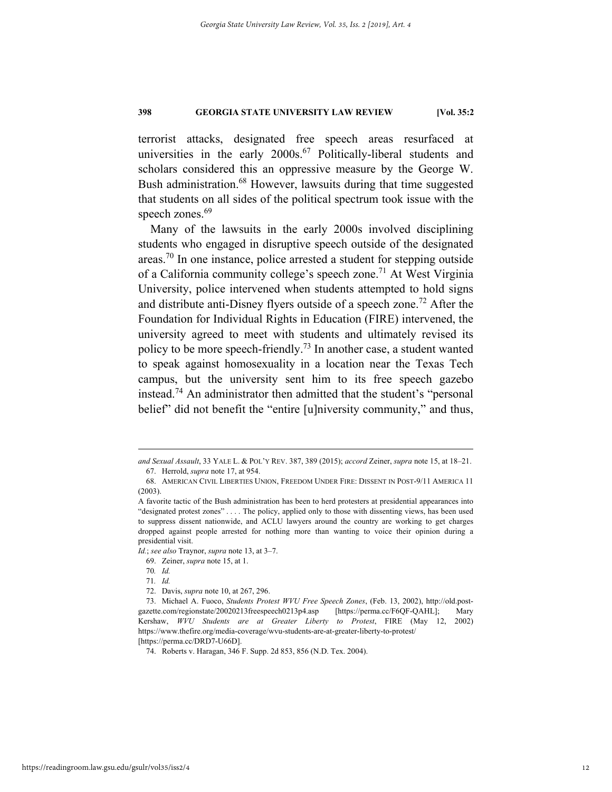terrorist attacks, designated free speech areas resurfaced at universities in the early  $2000s^{67}$  Politically-liberal students and scholars considered this an oppressive measure by the George W. Bush administration.<sup>68</sup> However, lawsuits during that time suggested that students on all sides of the political spectrum took issue with the speech zones.<sup>69</sup>

Many of the lawsuits in the early 2000s involved disciplining students who engaged in disruptive speech outside of the designated areas.<sup>70</sup> In one instance, police arrested a student for stepping outside of a California community college's speech zone.<sup>71</sup> At West Virginia University, police intervened when students attempted to hold signs and distribute anti-Disney flyers outside of a speech zone.<sup>72</sup> After the Foundation for Individual Rights in Education (FIRE) intervened, the university agreed to meet with students and ultimately revised its policy to be more speech-friendly.<sup>73</sup> In another case, a student wanted to speak against homosexuality in a location near the Texas Tech campus, but the university sent him to its free speech gazebo instead.<sup>74</sup> An administrator then admitted that the student's "personal belief" did not benefit the "entire [u]niversity community," and thus,

*Id.*; *see also* Traynor, *supra* note 13, at 3–7.

1

*and Sexual Assault*, 33 YALE L. & POL'Y REV. 387, 389 (2015); *accord* Zeiner, *supra* note 15, at 18–21. 67. Herrold, *supra* note 17, at 954.

 <sup>68.</sup> AMERICAN CIVIL LIBERTIES UNION, FREEDOM UNDER FIRE: DISSENT IN POST-9/11 AMERICA 11 (2003).

A favorite tactic of the Bush administration has been to herd protesters at presidential appearances into "designated protest zones" . . . . The policy, applied only to those with dissenting views, has been used to suppress dissent nationwide, and ACLU lawyers around the country are working to get charges dropped against people arrested for nothing more than wanting to voice their opinion during a presidential visit.

 <sup>69.</sup> Zeiner, *supra* note 15, at 1.

<sup>70</sup>*. Id.* 

<sup>71</sup>*. Id.*

 <sup>72.</sup> Davis, *supra* note 10, at 267, 296.

 <sup>73.</sup> Michael A. Fuoco, *Students Protest WVU Free Speech Zones*, (Feb. 13, 2002), http://old.postgazette.com/regionstate/20020213freespeech0213p4.asp [https://perma.cc/F6QF-QAHL]; Mary Kershaw, *WVU Students are at Greater Liberty to Protest*, FIRE (May 12, 2002) https://www.thefire.org/media-coverage/wvu-students-are-at-greater-liberty-to-protest/ [https://perma.cc/DRD7-U66D].

 <sup>74.</sup> Roberts v. Haragan, 346 F. Supp. 2d 853, 856 (N.D. Tex. 2004).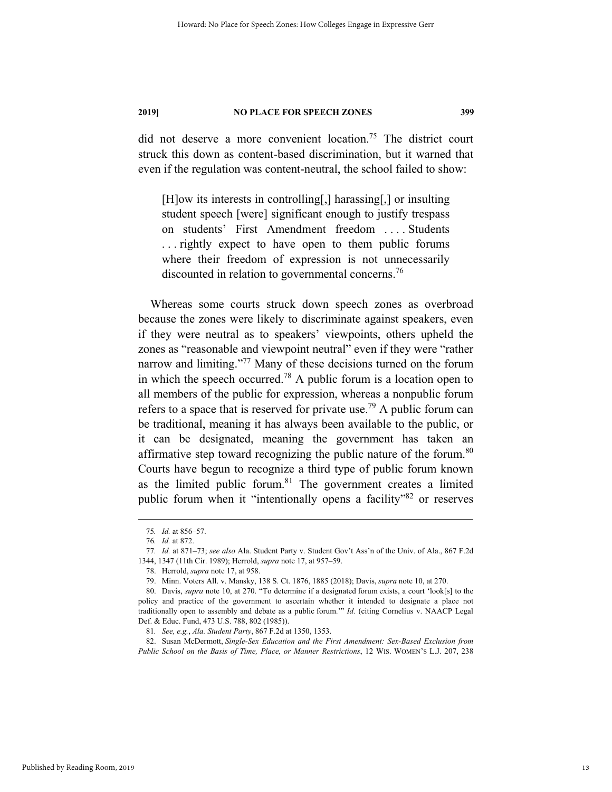did not deserve a more convenient location.75 The district court struck this down as content-based discrimination, but it warned that even if the regulation was content-neutral, the school failed to show:

[H]ow its interests in controlling[,] harassing[,] or insulting student speech [were] significant enough to justify trespass on students' First Amendment freedom . . . . Students . . . rightly expect to have open to them public forums where their freedom of expression is not unnecessarily discounted in relation to governmental concerns.<sup>76</sup>

Whereas some courts struck down speech zones as overbroad because the zones were likely to discriminate against speakers, even if they were neutral as to speakers' viewpoints, others upheld the zones as "reasonable and viewpoint neutral" even if they were "rather narrow and limiting."<sup>77</sup> Many of these decisions turned on the forum in which the speech occurred.<sup>78</sup> A public forum is a location open to all members of the public for expression, whereas a nonpublic forum refers to a space that is reserved for private use.<sup>79</sup> A public forum can be traditional, meaning it has always been available to the public, or it can be designated, meaning the government has taken an affirmative step toward recognizing the public nature of the forum.<sup>80</sup> Courts have begun to recognize a third type of public forum known as the limited public forum. $81$  The government creates a limited public forum when it "intentionally opens a facility"<sup>82</sup> or reserves

 82. Susan McDermott, *Single-Sex Education and the First Amendment: Sex-Based Exclusion from Public School on the Basis of Time, Place, or Manner Restrictions*, 12 WIS. WOMEN'S L.J. 207, 238

 <sup>75</sup>*. Id.* at 856–57.

<sup>76</sup>*. Id.* at 872.

<sup>77</sup>*. Id.* at 871–73; *see also* Ala. Student Party v. Student Gov't Ass'n of the Univ. of Ala., 867 F.2d 1344, 1347 (11th Cir. 1989); Herrold, *supra* note 17, at 957–59.

 <sup>78.</sup> Herrold, *supra* note 17, at 958.

 <sup>79.</sup> Minn. Voters All. v. Mansky, 138 S. Ct. 1876, 1885 (2018); Davis, *supra* note 10, at 270.

 <sup>80.</sup> Davis, *supra* note 10, at 270. "To determine if a designated forum exists, a court 'look[s] to the policy and practice of the government to ascertain whether it intended to designate a place not traditionally open to assembly and debate as a public forum.'" *Id.* (citing Cornelius v. NAACP Legal Def. & Educ. Fund, 473 U.S. 788, 802 (1985)).

<sup>81</sup>*. See, e.g.*, *Ala. Student Party*, 867 F.2d at 1350, 1353.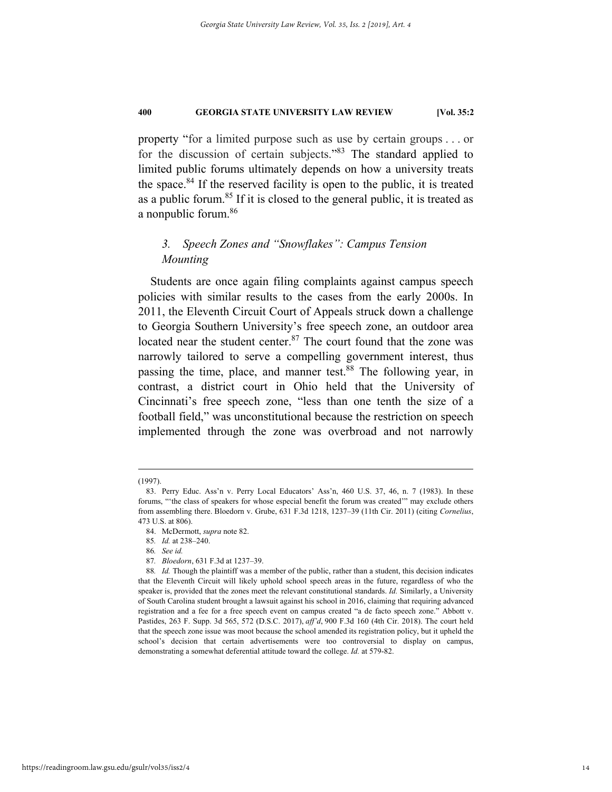property "for a limited purpose such as use by certain groups . . . or for the discussion of certain subjects."83 The standard applied to limited public forums ultimately depends on how a university treats the space.  $84$  If the reserved facility is open to the public, it is treated as a public forum.85 If it is closed to the general public, it is treated as a nonpublic forum.<sup>86</sup>

### *3. Speech Zones and "Snowflakes": Campus Tension Mounting*

Students are once again filing complaints against campus speech policies with similar results to the cases from the early 2000s. In 2011, the Eleventh Circuit Court of Appeals struck down a challenge to Georgia Southern University's free speech zone, an outdoor area located near the student center.<sup>87</sup> The court found that the zone was narrowly tailored to serve a compelling government interest, thus passing the time, place, and manner test.<sup>88</sup> The following year, in contrast, a district court in Ohio held that the University of Cincinnati's free speech zone, "less than one tenth the size of a football field," was unconstitutional because the restriction on speech implemented through the zone was overbroad and not narrowly

 <sup>(1997).</sup> 

 <sup>83.</sup> Perry Educ. Ass'n v. Perry Local Educators' Ass'n, 460 U.S. 37, 46, n. 7 (1983). In these forums, "'the class of speakers for whose especial benefit the forum was created'" may exclude others from assembling there. Bloedorn v. Grube, 631 F.3d 1218, 1237–39 (11th Cir. 2011) (citing *Cornelius*, 473 U.S. at 806).

 <sup>84.</sup> McDermott, *supra* note 82.

<sup>85</sup>*. Id.* at 238–240.

<sup>86</sup>*. See id.*

<sup>87</sup>*. Bloedorn*, 631 F.3d at 1237–39.

<sup>88</sup>*. Id.* Though the plaintiff was a member of the public, rather than a student, this decision indicates that the Eleventh Circuit will likely uphold school speech areas in the future, regardless of who the speaker is, provided that the zones meet the relevant constitutional standards. *Id.* Similarly, a University of South Carolina student brought a lawsuit against his school in 2016, claiming that requiring advanced registration and a fee for a free speech event on campus created "a de facto speech zone." Abbott v. Pastides, 263 F. Supp. 3d 565, 572 (D.S.C. 2017), *aff'd*, 900 F.3d 160 (4th Cir. 2018). The court held that the speech zone issue was moot because the school amended its registration policy, but it upheld the school's decision that certain advertisements were too controversial to display on campus, demonstrating a somewhat deferential attitude toward the college. *Id.* at 579-82.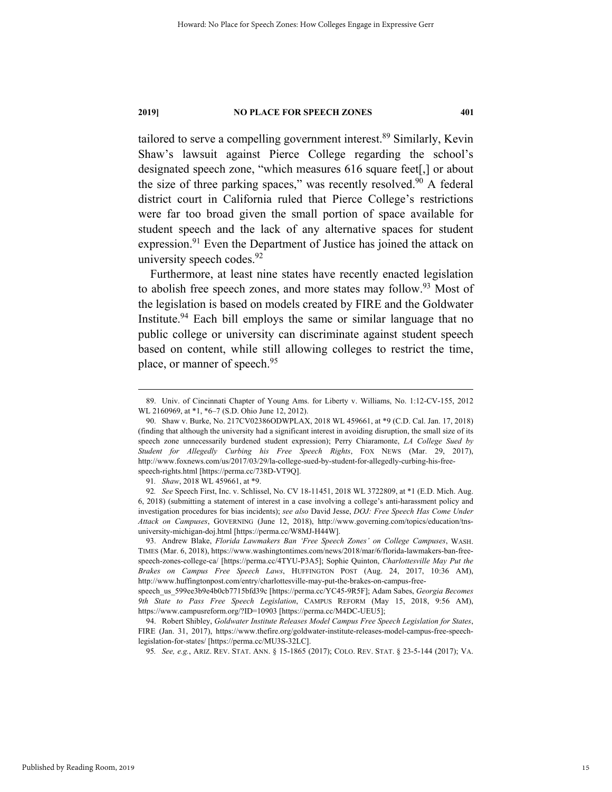tailored to serve a compelling government interest.<sup>89</sup> Similarly, Kevin Shaw's lawsuit against Pierce College regarding the school's designated speech zone, "which measures 616 square feet[,] or about the size of three parking spaces," was recently resolved. $90$  A federal district court in California ruled that Pierce College's restrictions were far too broad given the small portion of space available for student speech and the lack of any alternative spaces for student expression.<sup>91</sup> Even the Department of Justice has joined the attack on university speech codes.<sup>92</sup>

Furthermore, at least nine states have recently enacted legislation to abolish free speech zones, and more states may follow.<sup>93</sup> Most of the legislation is based on models created by FIRE and the Goldwater Institute.<sup>94</sup> Each bill employs the same or similar language that no public college or university can discriminate against student speech based on content, while still allowing colleges to restrict the time, place, or manner of speech.<sup>95</sup>

 <sup>89.</sup> Univ. of Cincinnati Chapter of Young Ams. for Liberty v. Williams, No. 1:12-CV-155, 2012 WL 2160969, at \*1, \*6–7 (S.D. Ohio June 12, 2012).

 <sup>90.</sup> Shaw v. Burke, No. 217CV02386ODWPLAX, 2018 WL 459661, at \*9 (C.D. Cal. Jan. 17, 2018) (finding that although the university had a significant interest in avoiding disruption, the small size of its speech zone unnecessarily burdened student expression); Perry Chiaramonte, *LA College Sued by Student for Allegedly Curbing his Free Speech Rights*, FOX NEWS (Mar. 29, 2017), http://www.foxnews.com/us/2017/03/29/la-college-sued-by-student-for-allegedly-curbing-his-freespeech-rights.html [https://perma.cc/738D-VT9Q].

<sup>91</sup>*. Shaw*, 2018 WL 459661, at \*9.

<sup>92</sup>*. See* Speech First, Inc. v. Schlissel, No. CV 18-11451, 2018 WL 3722809, at \*1 (E.D. Mich. Aug. 6, 2018) (submitting a statement of interest in a case involving a college's anti-harassment policy and investigation procedures for bias incidents); *see also* David Jesse, *DOJ: Free Speech Has Come Under Attack on Campuses*, GOVERNING (June 12, 2018), http://www.governing.com/topics/education/tnsuniversity-michigan-doj.html [https://perma.cc/W8MJ-H44W].

 <sup>93.</sup> Andrew Blake, *Florida Lawmakers Ban 'Free Speech Zones' on College Campuses*, WASH. TIMES (Mar. 6, 2018), https://www.washingtontimes.com/news/2018/mar/6/florida-lawmakers-ban-freespeech-zones-college-ca/ [https://perma.cc/4TYU-P3A5]; Sophie Quinton, *Charlottesville May Put the Brakes on Campus Free Speech Laws*, HUFFINGTON POST (Aug. 24, 2017, 10:36 AM), http://www.huffingtonpost.com/entry/charlottesville-may-put-the-brakes-on-campus-free-

speech\_us\_599ee3b9e4b0cb7715bfd39c [https://perma.cc/YC45-9R5F]; Adam Sabes, *Georgia Becomes 9th State to Pass Free Speech Legislation*, CAMPUS REFORM (May 15, 2018, 9:56 AM), https://www.campusreform.org/?ID=10903 [https://perma.cc/M4DC-UEU5];

 <sup>94.</sup> Robert Shibley, *Goldwater Institute Releases Model Campus Free Speech Legislation for States*, FIRE (Jan. 31, 2017), https://www.thefire.org/goldwater-institute-releases-model-campus-free-speechlegislation-for-states/ [https://perma.cc/MU3S-32LC].

<sup>95</sup>*. See, e.g.*, ARIZ. REV. STAT. ANN. § 15-1865 (2017); COLO. REV. STAT. § 23-5-144 (2017); VA.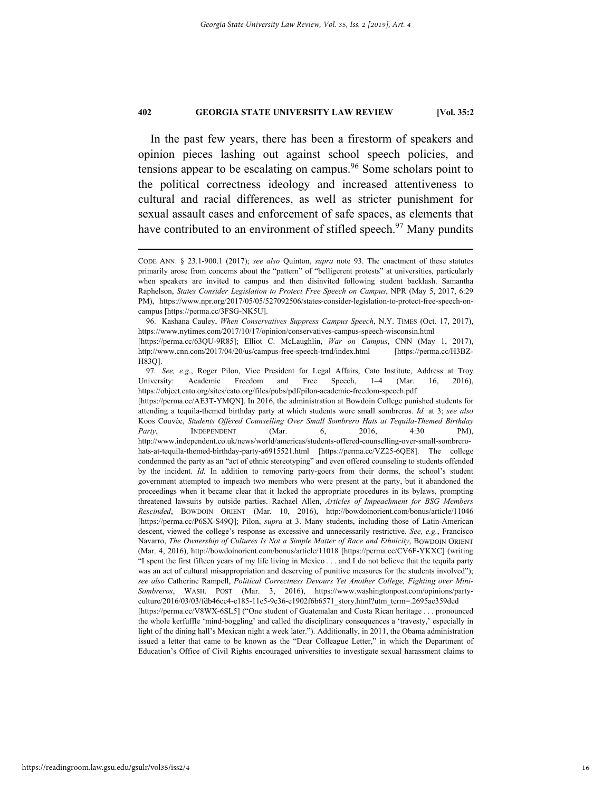In the past few years, there has been a firestorm of speakers and opinion pieces lashing out against school speech policies, and tensions appear to be escalating on campus. $96$  Some scholars point to the political correctness ideology and increased attentiveness to cultural and racial differences, as well as stricter punishment for sexual assault cases and enforcement of safe spaces, as elements that have contributed to an environment of stifled speech.<sup>97</sup> Many pundits

Education's Office of Civil Rights encouraged universities to investigate sexual harassment claims to

CODE ANN. § 23.1-900.1 (2017); *see also* Quinton, *supra* note 93. The enactment of these statutes primarily arose from concerns about the "pattern" of "belligerent protests" at universities, particularly when speakers are invited to campus and then disinvited following student backlash. Samantha Raphelson, *States Consider Legislation to Protect Free Speech on Campus*, NPR (May 5, 2017, 6:29 PM), https://www.npr.org/2017/05/05/527092506/states-consider-legislation-to-protect-free-speech-oncampus [https://perma.cc/3FSG-NK5U].

 <sup>96.</sup> Kashana Cauley, *When Conservatives Suppress Campus Speech*, N.Y. TIMES (Oct. 17, 2017), https://www.nytimes.com/2017/10/17/opinion/conservatives-campus-speech-wisconsin.html [https://perma.cc/63QU-9R85]; Elliot C. McLaughlin, *War on Campus*, CNN (May 1, 2017), http://www.cnn.com/2017/04/20/us/campus-free-speech-trnd/index.html [https://perma.cc/H3BZ-H83Q].

<sup>97</sup>*. See, e.g.*, Roger Pilon, Vice President for Legal Affairs, Cato Institute, Address at Troy University: Academic Freedom and Free Speech, 1–4 (Mar. 16, 2016), https://object.cato.org/sites/cato.org/files/pubs/pdf/pilon-academic-freedom-speech.pdf [https://perma.cc/AE3T-YMQN]. In 2016, the administration at Bowdoin College punished students for attending a tequila-themed birthday party at which students wore small sombreros. *Id.* at 3; *see also* Koos Couvée, *Students Offered Counselling Over Small Sombrero Hats at Tequila-Themed Birthday Party*, INDEPENDENT (Mar. 6, 2016, 4:30 PM), http://www.independent.co.uk/news/world/americas/students-offered-counselling-over-small-sombrerohats-at-tequila-themed-birthday-party-a6915521.html [https://perma.cc/VZ25-6QE8]. The college condemned the party as an "act of ethnic stereotyping" and even offered counseling to students offended by the incident. *Id.* In addition to removing party-goers from their dorms, the school's student government attempted to impeach two members who were present at the party, but it abandoned the proceedings when it became clear that it lacked the appropriate procedures in its bylaws, prompting threatened lawsuits by outside parties. Rachael Allen, *Articles of Impeachment for BSG Members Rescinded*, BOWDOIN ORIENT (Mar. 10, 2016), http://bowdoinorient.com/bonus/article/11046 [https://perma.cc/P6SX-S49Q]; Pilon, *supra* at 3. Many students, including those of Latin-American descent, viewed the college's response as excessive and unnecessarily restrictive. *See, e.g.*, Francisco Navarro, *The Ownership of Cultures Is Not a Simple Matter of Race and Ethnicity*, BOWDOIN ORIENT (Mar. 4, 2016), http://bowdoinorient.com/bonus/article/11018 [https://perma.cc/CV6F-YKXC] (writing "I spent the first fifteen years of my life living in Mexico . . . and I do not believe that the tequila party was an act of cultural misappropriation and deserving of punitive measures for the students involved"); *see also* Catherine Rampell, *Political Correctness Devours Yet Another College, Fighting over Mini-Sombreros*, WASH. POST (Mar. 3, 2016), https://www.washingtonpost.com/opinions/partyculture/2016/03/03/fdb46cc4-e185-11e5-9c36-e1902f6b6571\_story.html?utm\_term=.2695ae359ded [https://perma.cc/V8WX-6SL5] ("One student of Guatemalan and Costa Rican heritage . . . pronounced the whole kerfuffle 'mind-boggling' and called the disciplinary consequences a 'travesty,' especially in light of the dining hall's Mexican night a week later."). Additionally, in 2011, the Obama administration issued a letter that came to be known as the "Dear Colleague Letter," in which the Department of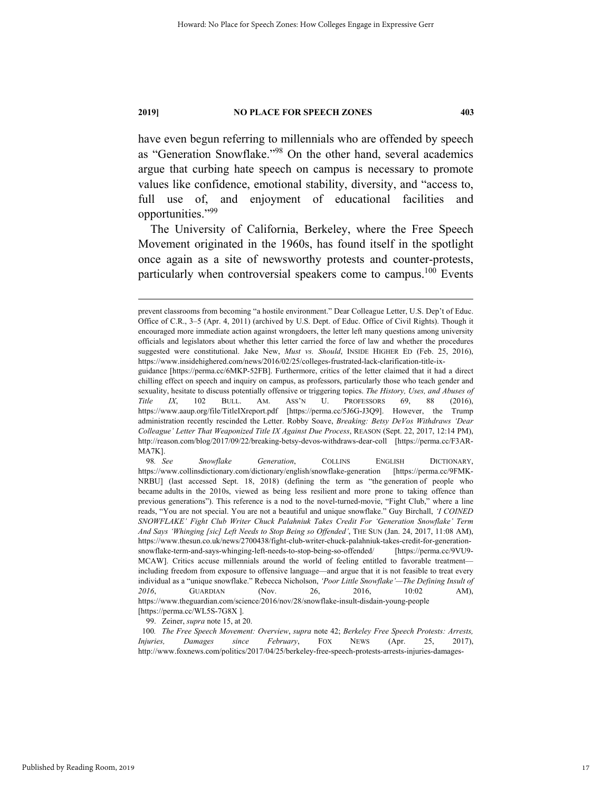have even begun referring to millennials who are offended by speech as "Generation Snowflake."98 On the other hand, several academics argue that curbing hate speech on campus is necessary to promote values like confidence, emotional stability, diversity, and "access to, full use of, and enjoyment of educational facilities and opportunities."<sup>99</sup>

The University of California, Berkeley, where the Free Speech Movement originated in the 1960s, has found itself in the spotlight once again as a site of newsworthy protests and counter-protests, particularly when controversial speakers come to campus.<sup>100</sup> Events

99. Zeiner, *supra* note 15, at 20.

prevent classrooms from becoming "a hostile environment." Dear Colleague Letter, U.S. Dep't of Educ. Office of C.R., 3–5 (Apr. 4, 2011) (archived by U.S. Dept. of Educ. Office of Civil Rights). Though it encouraged more immediate action against wrongdoers, the letter left many questions among university officials and legislators about whether this letter carried the force of law and whether the procedures suggested were constitutional. Jake New, *Must vs. Should*, INSIDE HIGHER ED (Feb. 25, 2016), https://www.insidehighered.com/news/2016/02/25/colleges-frustrated-lack-clarification-title-ix-

guidance [https://perma.cc/6MKP-52FB]. Furthermore, critics of the letter claimed that it had a direct chilling effect on speech and inquiry on campus, as professors, particularly those who teach gender and sexuality, hesitate to discuss potentially offensive or triggering topics. *The History, Uses, and Abuses of Title IX*, 102 BULL. AM. ASS'N U. PROFESSORS 69, 88 (2016), *Title IX*, 102 BULL. AM. ASS'N U. PROFESSORS 69, 88 (2016), https://www.aaup.org/file/TitleIXreport.pdf [https://perma.cc/5J6G-J3Q9]. However, the Trump administration recently rescinded the Letter. Robby Soave, *Breaking: Betsy DeVos Withdraws 'Dear Colleague' Letter That Weaponized Title IX Against Due Process*, REASON (Sept. 22, 2017, 12:14 PM), http://reason.com/blog/2017/09/22/breaking-betsy-devos-withdraws-dear-coll [https://perma.cc/F3AR-MA7K].

<sup>98</sup>*. See Snowflake Generation*, COLLINS ENGLISH DICTIONARY, https://www.collinsdictionary.com/dictionary/english/snowflake-generation [https://perma.cc/9FMK-NRBU] (last accessed Sept. 18, 2018) (defining the term as "the generation of people who became adults in the 2010s, viewed as being less resilient and more prone to taking offence than previous generations"). This reference is a nod to the novel-turned-movie, "Fight Club," where a line reads, "You are not special. You are not a beautiful and unique snowflake." Guy Birchall, *'I COINED SNOWFLAKE' Fight Club Writer Chuck Palahniuk Takes Credit For 'Generation Snowflake' Term And Says 'Whinging [sic] Left Needs to Stop Being so Offended'*, THE SUN (Jan. 24, 2017, 11:08 AM), https://www.thesun.co.uk/news/2700438/fight-club-writer-chuck-palahniuk-takes-credit-for-generationsnowflake-term-and-says-whinging-left-needs-to-stop-being-so-offended/ [https://perma.cc/9VU9- MCAW]. Critics accuse millennials around the world of feeling entitled to favorable treatment including freedom from exposure to offensive language—and argue that it is not feasible to treat every individual as a "unique snowflake." Rebecca Nicholson, *'Poor Little Snowflake'—The Defining Insult of 2016*, GUARDIAN (Nov. 26, 2016, 10:02 AM), https://www.theguardian.com/science/2016/nov/28/snowflake-insult-disdain-young-people [https://perma.cc/WL5S-7G8X ].

<sup>100</sup>*. The Free Speech Movement: Overview*, *supra* note 42; *Berkeley Free Speech Protests: Arrests, Injuries, Damages since February*, FOX NEWS (Apr. 25, 2017), http://www.foxnews.com/politics/2017/04/25/berkeley-free-speech-protests-arrests-injuries-damages-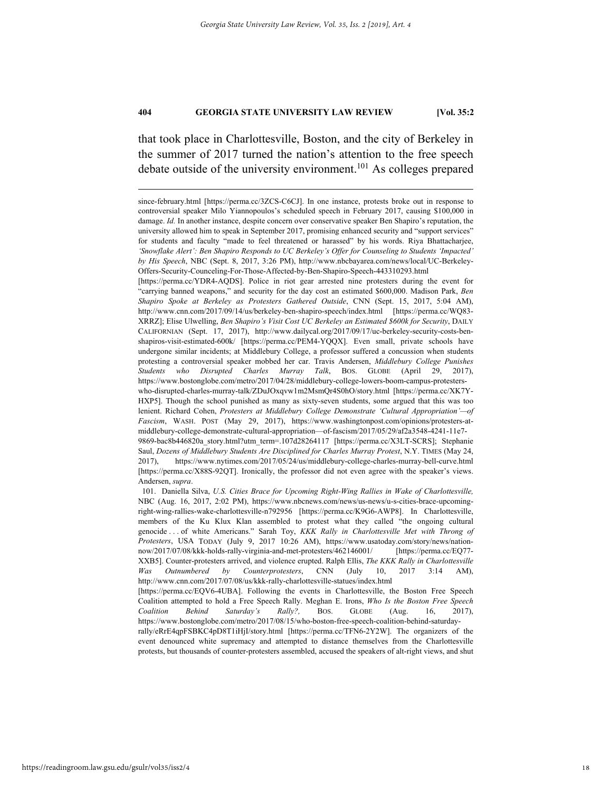that took place in Charlottesville, Boston, and the city of Berkeley in the summer of 2017 turned the nation's attention to the free speech debate outside of the university environment.<sup>101</sup> As colleges prepared

[https://perma.cc/YDR4-AQDS]. Police in riot gear arrested nine protesters during the event for "carrying banned weapons," and security for the day cost an estimated \$600,000. Madison Park, *Ben Shapiro Spoke at Berkeley as Protesters Gathered Outside*, CNN (Sept. 15, 2017, 5:04 AM), http://www.cnn.com/2017/09/14/us/berkeley-ben-shapiro-speech/index.html [https://perma.cc/WQ83- XRRZ]; Elise Ulwelling, *Ben Shapiro's Visit Cost UC Berkeley an Estimated \$600k for Security*, DAILY CALIFORNIAN (Sept. 17, 2017), http://www.dailycal.org/2017/09/17/uc-berkeley-security-costs-benshapiros-visit-estimated-600k/ [https://perma.cc/PEM4-YQQX]. Even small, private schools have undergone similar incidents; at Middlebury College, a professor suffered a concussion when students protesting a controversial speaker mobbed her car. Travis Andersen, *Middlebury College Punishes Students who Disrupted Charles Murray Talk*, BOS. GLOBE (April 29, 2017), https://www.bostonglobe.com/metro/2017/04/28/middlebury-college-lowers-boom-campus-protesterswho-disrupted-charles-murray-talk/ZDuJOxqvw1m2MsmQr4S0hO/story.html [https://perma.cc/XK7Y-HXP5]. Though the school punished as many as sixty-seven students, some argued that this was too lenient. Richard Cohen, *Protesters at Middlebury College Demonstrate 'Cultural Appropriation'—of Fascism*, WASH. POST (May 29, 2017), https://www.washingtonpost.com/opinions/protesters-atmiddlebury-college-demonstrate-cultural-appropriation—of-fascism/2017/05/29/af2a3548-4241-11e7- 9869-bac8b446820a\_story.html?utm\_term=.107d28264117 [https://perma.cc/X3LT-SCRS]; Stephanie Saul, *Dozens of Middlebury Students Are Disciplined for Charles Murray Protest*, N.Y. TIMES (May 24, 2017), https://www.nytimes.com/2017/05/24/us/middlebury-college-charles-murray-bell-curve.html [https://perma.cc/X88S-92QT]. Ironically, the professor did not even agree with the speaker's views. Andersen, *supra*.

 101. Daniella Silva, *U.S. Cities Brace for Upcoming Right-Wing Rallies in Wake of Charlottesville,* NBC (Aug. 16, 2017, 2:02 PM), https://www.nbcnews.com/news/us-news/u-s-cities-brace-upcomingright-wing-rallies-wake-charlottesville-n792956 [https://perma.cc/K9G6-AWP8]. In Charlottesville, members of the Ku Klux Klan assembled to protest what they called "the ongoing cultural genocide . . . of white Americans." Sarah Toy, *KKK Rally in Charlottesville Met with Throng of Protesters*, USA TODAY (July 9, 2017 10:26 AM), https://www.usatoday.com/story/news/nationnow/2017/07/08/kkk-holds-rally-virginia-and-met-protesters/462146001/ [https://perma.cc/EQ77- XXB5]. Counter-protesters arrived, and violence erupted. Ralph Ellis, *The KKK Rally in Charlottesville Was Outnumbered by Counterprotesters*, CNN (July 10, 2017 3:14 AM), http://www.cnn.com/2017/07/08/us/kkk-rally-charlottesville-statues/index.html

[https://perma.cc/EQV6-4UBA]. Following the events in Charlottesville, the Boston Free Speech Coalition attempted to hold a Free Speech Rally. Meghan E. Irons, *Who Is the Boston Free Speech Coalition Behind Saturday's Rally?,* BOS. GLOBE (Aug. 16, 2017), https://www.bostonglobe.com/metro/2017/08/15/who-boston-free-speech-coalition-behind-saturdayrally/eRrE4qpFSBKC4pD8T1iHjI/story.html [https://perma.cc/TFN6-2Y2W]. The organizers of the event denounced white supremacy and attempted to distance themselves from the Charlottesville protests, but thousands of counter-protesters assembled, accused the speakers of alt-right views, and shut

since-february.html [https://perma.cc/3ZCS-C6CJ]. In one instance, protests broke out in response to controversial speaker Milo Yiannopoulos's scheduled speech in February 2017, causing \$100,000 in damage. *Id.* In another instance, despite concern over conservative speaker Ben Shapiro's reputation, the university allowed him to speak in September 2017, promising enhanced security and "support services" for students and faculty "made to feel threatened or harassed" by his words. Riya Bhattacharjee, *'Snowflake Alert': Ben Shapiro Responds to UC Berkeley's Offer for Counseling to Students 'Impacted' by His Speech*, NBC (Sept. 8, 2017, 3:26 PM), http://www.nbcbayarea.com/news/local/UC-Berkeley-Offers-Security-Counceling-For-Those-Affected-by-Ben-Shapiro-Speech-443310293.html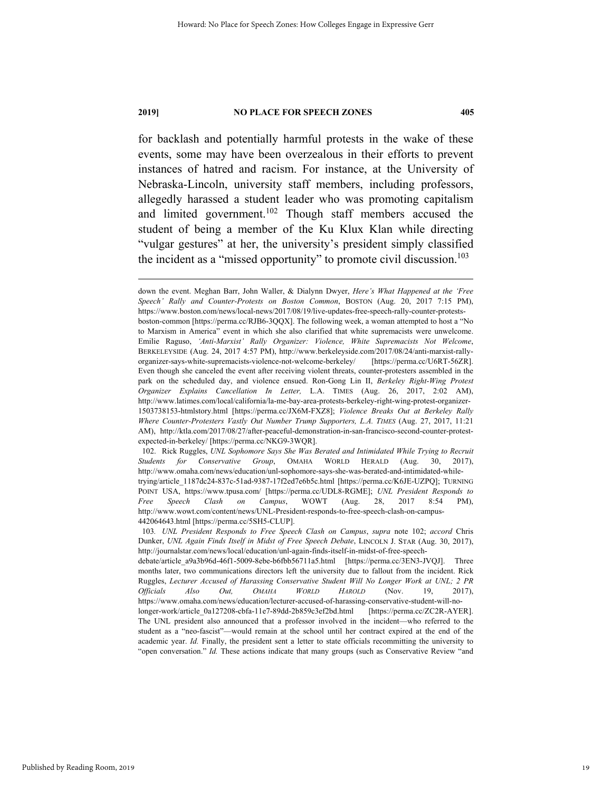for backlash and potentially harmful protests in the wake of these events, some may have been overzealous in their efforts to prevent instances of hatred and racism. For instance, at the University of Nebraska-Lincoln, university staff members, including professors, allegedly harassed a student leader who was promoting capitalism and limited government.<sup>102</sup> Though staff members accused the student of being a member of the Ku Klux Klan while directing "vulgar gestures" at her, the university's president simply classified the incident as a "missed opportunity" to promote civil discussion.<sup>103</sup>

down the event. Meghan Barr, John Waller, & Dialynn Dwyer, *Here's What Happened at the 'Free Speech' Rally and Counter-Protests on Boston Common*, BOSTON (Aug. 20, 2017 7:15 PM), https://www.boston.com/news/local-news/2017/08/19/live-updates-free-speech-rally-counter-protestsboston-common [https://perma.cc/RJB6-3QQX]. The following week, a woman attempted to host a "No to Marxism in America" event in which she also clarified that white supremacists were unwelcome. Emilie Raguso, *'Anti-Marxist' Rally Organizer: Violence, White Supremacists Not Welcome*, BERKELEYSIDE (Aug. 24, 2017 4:57 PM), http://www.berkeleyside.com/2017/08/24/anti-marxist-rallyorganizer-says-white-supremacists-violence-not-welcome-berkeley/ [https://perma.cc/U6RT-56ZR]. Even though she canceled the event after receiving violent threats, counter-protesters assembled in the park on the scheduled day, and violence ensued. Ron-Gong Lin II, *Berkeley Right-Wing Protest Organizer Explains Cancellation In Letter,* L.A. TIMES (Aug. 26, 2017, 2:02 AM), http://www.latimes.com/local/california/la-me-bay-area-protests-berkeley-right-wing-protest-organizer-1503738153-htmlstory.html [https://perma.cc/JX6M-FXZ8]; *Violence Breaks Out at Berkeley Rally Where Counter-Protesters Vastly Out Number Trump Supporters, L.A. TIMES* (Aug. 27, 2017, 11:21 AM), http://ktla.com/2017/08/27/after-peaceful-demonstration-in-san-francisco-second-counter-protestexpected-in-berkeley/ [https://perma.cc/NKG9-3WQR].

 <sup>102.</sup> Rick Ruggles, *UNL Sophomore Says She Was Berated and Intimidated While Trying to Recruit Students for Conservative Group*, OMAHA WORLD HERALD (Aug. 30, 2017), http://www.omaha.com/news/education/unl-sophomore-says-she-was-berated-and-intimidated-whiletrying/article\_1187dc24-837c-51ad-9387-17f2ed7e6b5c.html [https://perma.cc/K6JE-UZPQ]; TURNING POINT USA, https://www.tpusa.com/ [https://perma.cc/UDL8-RGME]; *UNL President Responds to Free Speech Clash on Campus*, WOWT (Aug. 28, 2017 8:54 PM), http://www.wowt.com/content/news/UNL-President-responds-to-free-speech-clash-on-campus-442064643.html [https://perma.cc/5SH5-CLUP].

<sup>103</sup>*. UNL President Responds to Free Speech Clash on Campus*, *supra* note 102; *accord* Chris Dunker, *UNL Again Finds Itself in Midst of Free Speech Debate*, LINCOLN J. STAR (Aug. 30, 2017), http://journalstar.com/news/local/education/unl-again-finds-itself-in-midst-of-free-speech-

debate/article\_a9a3b96d-46f1-5009-8ebe-b6fbb56711a5.html [https://perma.cc/3EN3-JVQJ]. Three months later, two communications directors left the university due to fallout from the incident. Rick Ruggles, *Lecturer Accused of Harassing Conservative Student Will No Longer Work at UNL; 2 PR Officials Also Out, OMAHA WORLD HAROLD* (Nov. 19, 2017), https://www.omaha.com/news/education/lecturer-accused-of-harassing-conservative-student-will-nolonger-work/article\_0a127208-cbfa-11e7-89dd-2b859c3ef2bd.html [https://perma.cc/ZC2R-AYER]. The UNL president also announced that a professor involved in the incident—who referred to the student as a "neo-fascist"—would remain at the school until her contract expired at the end of the academic year. *Id.* Finally, the president sent a letter to state officials recommitting the university to "open conversation." *Id.* These actions indicate that many groups (such as Conservative Review "and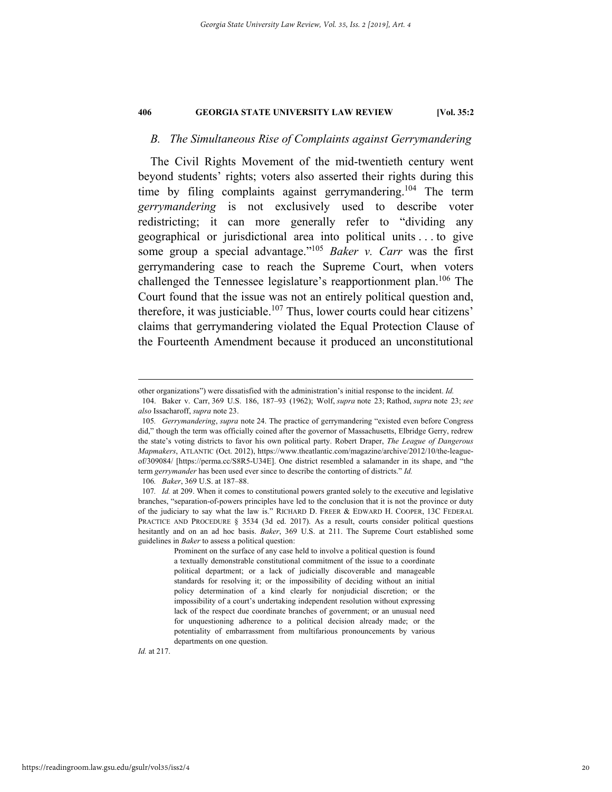### *B. The Simultaneous Rise of Complaints against Gerrymandering*

The Civil Rights Movement of the mid-twentieth century went beyond students' rights; voters also asserted their rights during this time by filing complaints against gerrymandering.<sup>104</sup> The term *gerrymandering* is not exclusively used to describe voter redistricting; it can more generally refer to "dividing any geographical or jurisdictional area into political units . . . to give some group a special advantage."105 *Baker v. Carr* was the first gerrymandering case to reach the Supreme Court, when voters challenged the Tennessee legislature's reapportionment plan.<sup>106</sup> The Court found that the issue was not an entirely political question and, therefore, it was justiciable. $107$  Thus, lower courts could hear citizens' claims that gerrymandering violated the Equal Protection Clause of the Fourteenth Amendment because it produced an unconstitutional

106*. Baker*, 369 U.S. at 187–88.

*Id.* at 217.

other organizations") were dissatisfied with the administration's initial response to the incident. *Id.*

 <sup>104.</sup> Baker v. Carr, 369 U.S. 186, 187–93 (1962); Wolf, *supra* note 23; Rathod, *supra* note 23; *see also* Issacharoff, *supra* note 23.

<sup>105</sup>*. Gerrymandering*, *supra* note 24. The practice of gerrymandering "existed even before Congress did," though the term was officially coined after the governor of Massachusetts, Elbridge Gerry, redrew the state's voting districts to favor his own political party. Robert Draper, *The League of Dangerous Mapmakers*, ATLANTIC (Oct. 2012), https://www.theatlantic.com/magazine/archive/2012/10/the-leagueof/309084/ [https://perma.cc/S8R5-U34E]. One district resembled a salamander in its shape, and "the term *gerrymander* has been used ever since to describe the contorting of districts." *Id.*

<sup>107</sup>*. Id.* at 209. When it comes to constitutional powers granted solely to the executive and legislative branches, "separation-of-powers principles have led to the conclusion that it is not the province or duty of the judiciary to say what the law is." RICHARD D. FREER & EDWARD H. COOPER, 13C FEDERAL PRACTICE AND PROCEDURE § 3534 (3d ed. 2017). As a result, courts consider political questions hesitantly and on an ad hoc basis. *Baker*, 369 U.S. at 211. The Supreme Court established some guidelines in *Baker* to assess a political question:

Prominent on the surface of any case held to involve a political question is found a textually demonstrable constitutional commitment of the issue to a coordinate political department; or a lack of judicially discoverable and manageable standards for resolving it; or the impossibility of deciding without an initial policy determination of a kind clearly for nonjudicial discretion; or the impossibility of a court's undertaking independent resolution without expressing lack of the respect due coordinate branches of government; or an unusual need for unquestioning adherence to a political decision already made; or the potentiality of embarrassment from multifarious pronouncements by various departments on one question.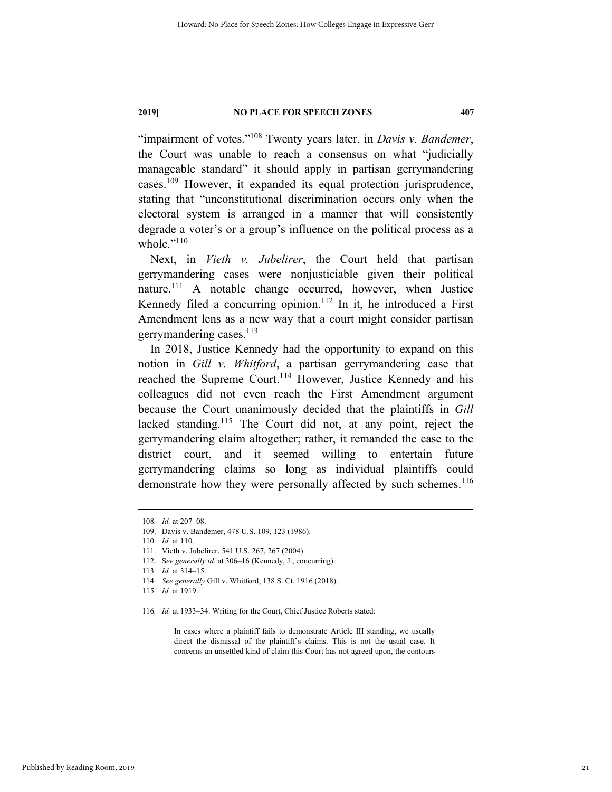"impairment of votes."108 Twenty years later, in *Davis v. Bandemer*, the Court was unable to reach a consensus on what "judicially manageable standard" it should apply in partisan gerrymandering cases.109 However, it expanded its equal protection jurisprudence, stating that "unconstitutional discrimination occurs only when the electoral system is arranged in a manner that will consistently degrade a voter's or a group's influence on the political process as a whole. $"$ <sup>110</sup>

Next, in *Vieth v. Jubelirer*, the Court held that partisan gerrymandering cases were nonjusticiable given their political nature.<sup>111</sup> A notable change occurred, however, when Justice Kennedy filed a concurring opinion.<sup>112</sup> In it, he introduced a First Amendment lens as a new way that a court might consider partisan gerrymandering cases. $^{113}$ 

In 2018, Justice Kennedy had the opportunity to expand on this notion in *Gill v. Whitford*, a partisan gerrymandering case that reached the Supreme Court.<sup>114</sup> However, Justice Kennedy and his colleagues did not even reach the First Amendment argument because the Court unanimously decided that the plaintiffs in *Gill* lacked standing.<sup>115</sup> The Court did not, at any point, reject the gerrymandering claim altogether; rather, it remanded the case to the district court, and it seemed willing to entertain future gerrymandering claims so long as individual plaintiffs could demonstrate how they were personally affected by such schemes.<sup>116</sup>

In cases where a plaintiff fails to demonstrate Article III standing, we usually direct the dismissal of the plaintiff's claims. This is not the usual case. It concerns an unsettled kind of claim this Court has not agreed upon, the contours

 <sup>108</sup>*. Id.* at 207–08.

 <sup>109.</sup> Davis v. Bandemer, 478 U.S. 109, 123 (1986).

<sup>110</sup>*. Id.* at 110.

 <sup>111.</sup> Vieth v. Jubelirer, 541 U.S. 267, 267 (2004).

 <sup>112.</sup> S*ee generally id.* at 306–16 (Kennedy, J., concurring).

<sup>113</sup>*. Id.* at 314–15.

<sup>114</sup>*. See generally* Gill v. Whitford, 138 S. Ct. 1916 (2018).

<sup>115</sup>*. Id.* at 1919.

<sup>116</sup>*. Id.* at 1933–34. Writing for the Court, Chief Justice Roberts stated: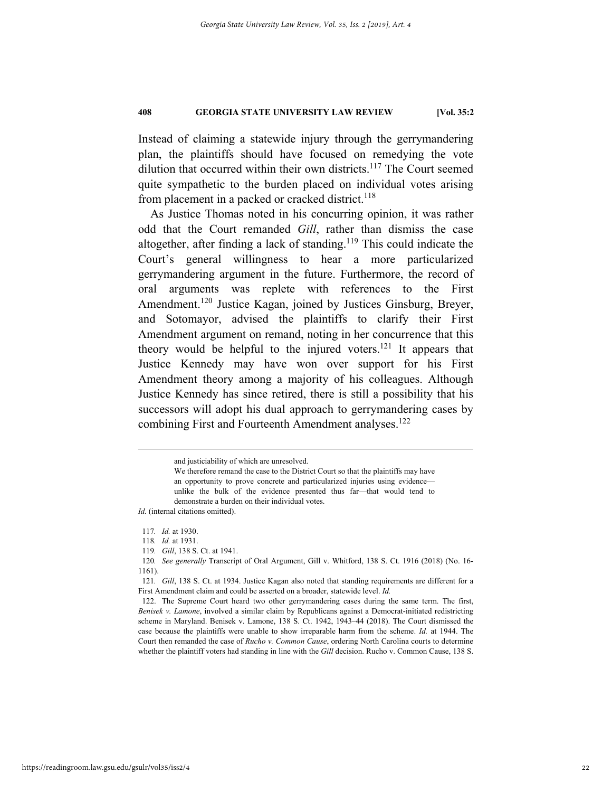Instead of claiming a statewide injury through the gerrymandering plan, the plaintiffs should have focused on remedying the vote dilution that occurred within their own districts.<sup>117</sup> The Court seemed quite sympathetic to the burden placed on individual votes arising from placement in a packed or cracked district.<sup>118</sup>

As Justice Thomas noted in his concurring opinion, it was rather odd that the Court remanded *Gill*, rather than dismiss the case altogether, after finding a lack of standing.<sup>119</sup> This could indicate the Court's general willingness to hear a more particularized gerrymandering argument in the future. Furthermore, the record of oral arguments was replete with references to the First Amendment.<sup>120</sup> Justice Kagan, joined by Justices Ginsburg, Breyer, and Sotomayor, advised the plaintiffs to clarify their First Amendment argument on remand, noting in her concurrence that this theory would be helpful to the injured voters.<sup>121</sup> It appears that Justice Kennedy may have won over support for his First Amendment theory among a majority of his colleagues. Although Justice Kennedy has since retired, there is still a possibility that his successors will adopt his dual approach to gerrymandering cases by combining First and Fourteenth Amendment analyses.<sup>122</sup>

and justiciability of which are unresolved.

We therefore remand the case to the District Court so that the plaintiffs may have an opportunity to prove concrete and particularized injuries using evidence unlike the bulk of the evidence presented thus far—that would tend to demonstrate a burden on their individual votes.

*Id.* (internal citations omitted).

<sup>117</sup>*. Id.* at 1930.

<sup>118</sup>*. Id.* at 1931.

<sup>119</sup>*. Gill*, 138 S. Ct. at 1941.

<sup>120</sup>*. See generally* Transcript of Oral Argument, Gill v. Whitford, 138 S. Ct. 1916 (2018) (No. 16- 1161).

<sup>121</sup>*. Gill*, 138 S. Ct. at 1934. Justice Kagan also noted that standing requirements are different for a First Amendment claim and could be asserted on a broader, statewide level. *Id.*

 <sup>122.</sup> The Supreme Court heard two other gerrymandering cases during the same term. The first, *Benisek v. Lamone*, involved a similar claim by Republicans against a Democrat-initiated redistricting scheme in Maryland. Benisek v. Lamone, 138 S. Ct. 1942, 1943–44 (2018). The Court dismissed the case because the plaintiffs were unable to show irreparable harm from the scheme. *Id.* at 1944. The Court then remanded the case of *Rucho v. Common Cause*, ordering North Carolina courts to determine whether the plaintiff voters had standing in line with the *Gill* decision. Rucho v. Common Cause, 138 S.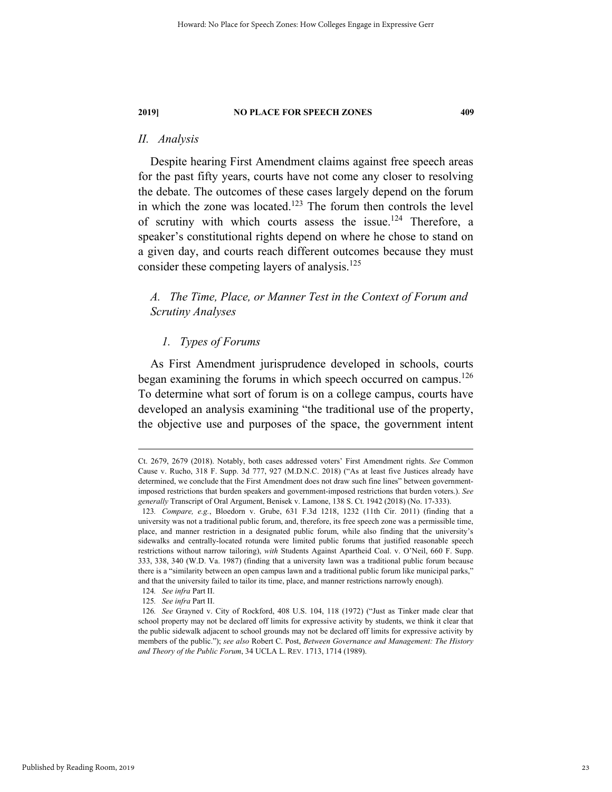### *II. Analysis*

Despite hearing First Amendment claims against free speech areas for the past fifty years, courts have not come any closer to resolving the debate. The outcomes of these cases largely depend on the forum in which the zone was located.<sup>123</sup> The forum then controls the level of scrutiny with which courts assess the issue.<sup>124</sup> Therefore, a speaker's constitutional rights depend on where he chose to stand on a given day, and courts reach different outcomes because they must consider these competing layers of analysis.125

### *A. The Time, Place, or Manner Test in the Context of Forum and Scrutiny Analyses*

### *1. Types of Forums*

As First Amendment jurisprudence developed in schools, courts began examining the forums in which speech occurred on campus.<sup>126</sup> To determine what sort of forum is on a college campus, courts have developed an analysis examining "the traditional use of the property, the objective use and purposes of the space, the government intent

Ct. 2679, 2679 (2018). Notably, both cases addressed voters' First Amendment rights. *See* Common Cause v. Rucho, 318 F. Supp. 3d 777, 927 (M.D.N.C. 2018) ("As at least five Justices already have determined, we conclude that the First Amendment does not draw such fine lines" between governmentimposed restrictions that burden speakers and government-imposed restrictions that burden voters.). *See generally* Transcript of Oral Argument, Benisek v. Lamone, 138 S. Ct. 1942 (2018) (No. 17-333).

<sup>123</sup>*. Compare, e.g.*, Bloedorn v. Grube, 631 F.3d 1218, 1232 (11th Cir. 2011) (finding that a university was not a traditional public forum, and, therefore, its free speech zone was a permissible time, place, and manner restriction in a designated public forum, while also finding that the university's sidewalks and centrally-located rotunda were limited public forums that justified reasonable speech restrictions without narrow tailoring), *with* Students Against Apartheid Coal. v. O'Neil, 660 F. Supp. 333, 338, 340 (W.D. Va. 1987) (finding that a university lawn was a traditional public forum because there is a "similarity between an open campus lawn and a traditional public forum like municipal parks," and that the university failed to tailor its time, place, and manner restrictions narrowly enough).

<sup>124</sup>*. See infra* Part II.

<sup>125</sup>*. See infra* Part II.

<sup>126</sup>*. See* Grayned v. City of Rockford, 408 U.S. 104, 118 (1972) ("Just as Tinker made clear that school property may not be declared off limits for expressive activity by students, we think it clear that the public sidewalk adjacent to school grounds may not be declared off limits for expressive activity by members of the public."); *see also* Robert C. Post, *Between Governance and Management: The History and Theory of the Public Forum*, 34 UCLA L. REV. 1713, 1714 (1989).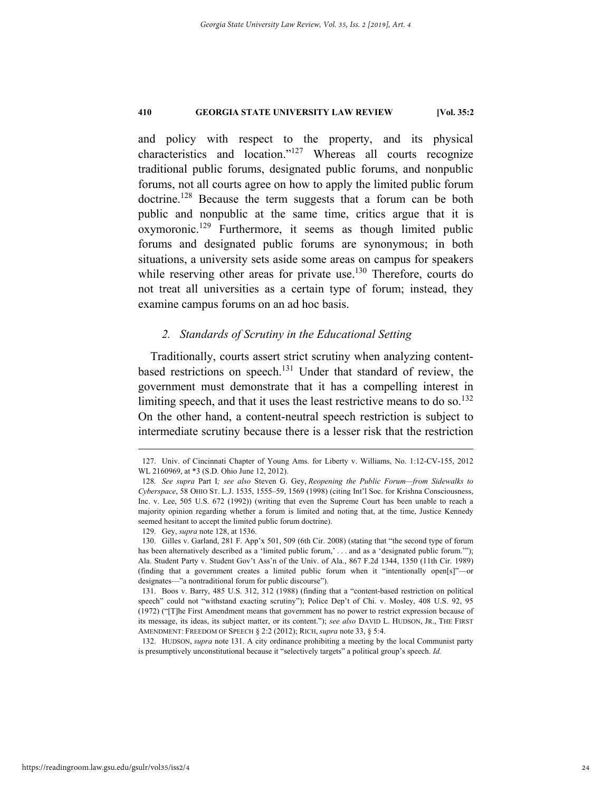and policy with respect to the property, and its physical characteristics and location."127 Whereas all courts recognize traditional public forums, designated public forums, and nonpublic forums, not all courts agree on how to apply the limited public forum doctrine.<sup>128</sup> Because the term suggests that a forum can be both public and nonpublic at the same time, critics argue that it is oxymoronic.129 Furthermore, it seems as though limited public forums and designated public forums are synonymous; in both situations, a university sets aside some areas on campus for speakers while reserving other areas for private use.<sup>130</sup> Therefore, courts do not treat all universities as a certain type of forum; instead, they examine campus forums on an ad hoc basis.

### *2. Standards of Scrutiny in the Educational Setting*

Traditionally, courts assert strict scrutiny when analyzing contentbased restrictions on speech.<sup>131</sup> Under that standard of review, the government must demonstrate that it has a compelling interest in limiting speech, and that it uses the least restrictive means to do so.<sup>132</sup> On the other hand, a content-neutral speech restriction is subject to intermediate scrutiny because there is a lesser risk that the restriction

 <sup>127.</sup> Univ. of Cincinnati Chapter of Young Ams. for Liberty v. Williams, No. 1:12-CV-155, 2012 WL 2160969, at \*3 (S.D. Ohio June 12, 2012).

<sup>128</sup>*. See supra* Part I*; see also* Steven G. Gey, *Reopening the Public Forum—from Sidewalks to Cyberspace*, 58 OHIO ST. L.J. 1535, 1555–59, 1569 (1998) (citing Int'l Soc. for Krishna Consciousness, Inc. v. Lee, 505 U.S. 672 (1992)) (writing that even the Supreme Court has been unable to reach a majority opinion regarding whether a forum is limited and noting that, at the time, Justice Kennedy seemed hesitant to accept the limited public forum doctrine).

 <sup>129.</sup> Gey, *supra* note 128, at 1536.

 <sup>130.</sup> Gilles v. Garland, 281 F. App'x 501, 509 (6th Cir. 2008) (stating that "the second type of forum has been alternatively described as a 'limited public forum,' . . . and as a 'designated public forum.'"); Ala. Student Party v. Student Gov't Ass'n of the Univ. of Ala., 867 F.2d 1344, 1350 (11th Cir. 1989) (finding that a government creates a limited public forum when it "intentionally open[s]"—or designates—"a nontraditional forum for public discourse").

 <sup>131.</sup> Boos v. Barry, 485 U.S. 312, 312 (1988) (finding that a "content-based restriction on political speech" could not "withstand exacting scrutiny"); Police Dep't of Chi. v. Mosley, 408 U.S. 92, 95 (1972) ("[T]he First Amendment means that government has no power to restrict expression because of its message, its ideas, its subject matter, or its content."); *see also* DAVID L. HUDSON, JR., THE FIRST AMENDMENT: FREEDOM OF SPEECH § 2:2 (2012); RICH, *supra* note 33, § 5:4.

 <sup>132.</sup> HUDSON, *supra* note 131. A city ordinance prohibiting a meeting by the local Communist party is presumptively unconstitutional because it "selectively targets" a political group's speech. *Id.*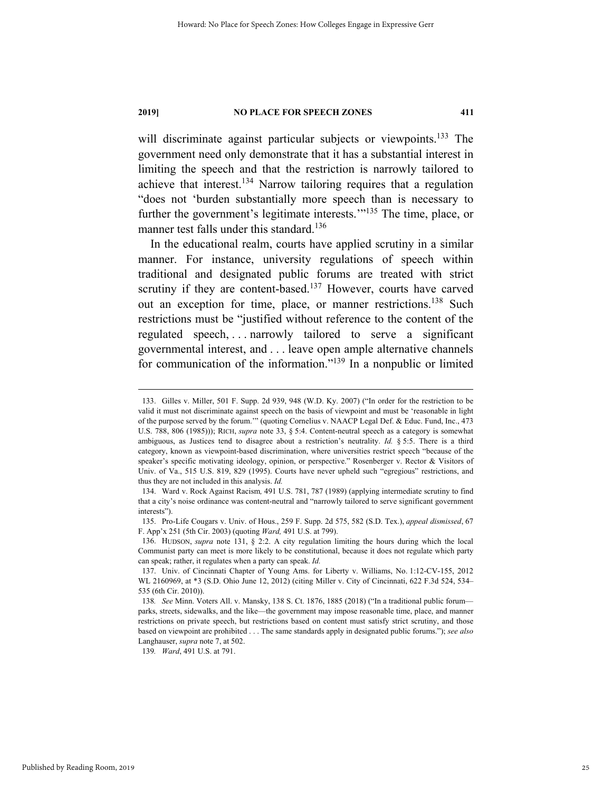will discriminate against particular subjects or viewpoints.<sup>133</sup> The government need only demonstrate that it has a substantial interest in limiting the speech and that the restriction is narrowly tailored to achieve that interest.134 Narrow tailoring requires that a regulation "does not 'burden substantially more speech than is necessary to further the government's legitimate interests."<sup>135</sup> The time, place, or manner test falls under this standard.<sup>136</sup>

In the educational realm, courts have applied scrutiny in a similar manner. For instance, university regulations of speech within traditional and designated public forums are treated with strict scrutiny if they are content-based.<sup>137</sup> However, courts have carved out an exception for time, place, or manner restrictions.138 Such restrictions must be "justified without reference to the content of the regulated speech, . . . narrowly tailored to serve a significant governmental interest, and . . . leave open ample alternative channels for communication of the information."139 In a nonpublic or limited

139*. Ward*, 491 U.S. at 791.

 <sup>133.</sup> Gilles v. Miller, 501 F. Supp. 2d 939, 948 (W.D. Ky. 2007) ("In order for the restriction to be valid it must not discriminate against speech on the basis of viewpoint and must be 'reasonable in light of the purpose served by the forum.'" (quoting Cornelius v. NAACP Legal Def. & Educ. Fund, Inc., 473 U.S. 788, 806 (1985))); RICH, *supra* note 33, § 5:4. Content-neutral speech as a category is somewhat ambiguous, as Justices tend to disagree about a restriction's neutrality. *Id.* § 5:5. There is a third category, known as viewpoint-based discrimination, where universities restrict speech "because of the speaker's specific motivating ideology, opinion, or perspective." Rosenberger v. Rector & Visitors of Univ. of Va., 515 U.S. 819, 829 (1995). Courts have never upheld such "egregious" restrictions, and thus they are not included in this analysis. *Id.*

 <sup>134.</sup> Ward v. Rock Against Racism*,* 491 U.S. 781, 787 (1989) (applying intermediate scrutiny to find that a city's noise ordinance was content-neutral and "narrowly tailored to serve significant government interests").

 <sup>135.</sup> Pro-Life Cougars v. Univ. of Hous., 259 F. Supp. 2d 575, 582 (S.D. Tex.), *appeal dismissed*, 67 F. App'x 251 (5th Cir. 2003) (quoting *Ward,* 491 U.S. at 799).

 <sup>136.</sup> HUDSON, *supra* note 131, § 2:2. A city regulation limiting the hours during which the local Communist party can meet is more likely to be constitutional, because it does not regulate which party can speak; rather, it regulates when a party can speak. *Id.*

 <sup>137.</sup> Univ. of Cincinnati Chapter of Young Ams. for Liberty v. Williams, No. 1:12-CV-155, 2012 WL 2160969, at \*3 (S.D. Ohio June 12, 2012) (citing Miller v. City of Cincinnati, 622 F.3d 524, 534– 535 (6th Cir. 2010)).

<sup>138</sup>*. See* Minn. Voters All. v. Mansky, 138 S. Ct. 1876, 1885 (2018) ("In a traditional public forum parks, streets, sidewalks, and the like—the government may impose reasonable time, place, and manner restrictions on private speech, but restrictions based on content must satisfy strict scrutiny, and those based on viewpoint are prohibited . . . The same standards apply in designated public forums."); *see also*  Langhauser, *supra* note 7, at 502.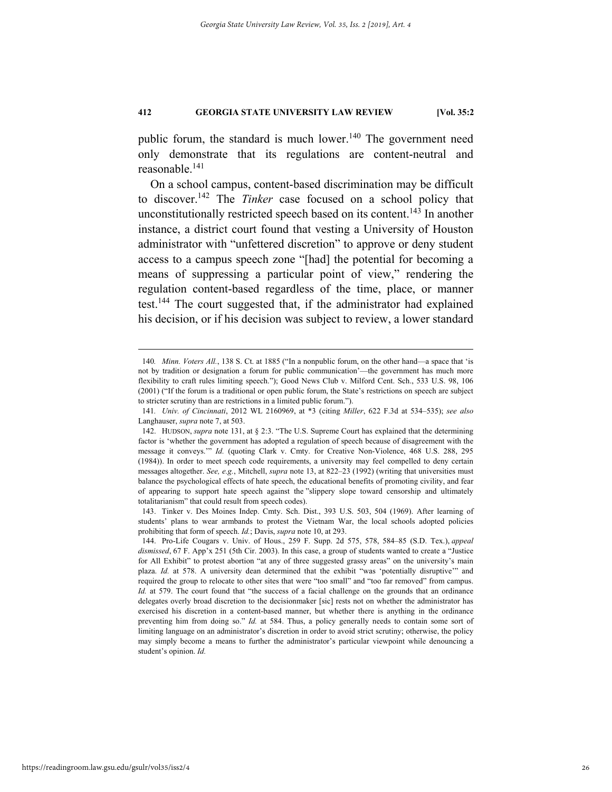public forum, the standard is much lower. $140$  The government need only demonstrate that its regulations are content-neutral and reasonable.<sup>141</sup>

On a school campus, content-based discrimination may be difficult to discover.142 The *Tinker* case focused on a school policy that unconstitutionally restricted speech based on its content.<sup>143</sup> In another instance, a district court found that vesting a University of Houston administrator with "unfettered discretion" to approve or deny student access to a campus speech zone "[had] the potential for becoming a means of suppressing a particular point of view," rendering the regulation content-based regardless of the time, place, or manner test.144 The court suggested that, if the administrator had explained his decision, or if his decision was subject to review, a lower standard

 <sup>140</sup>*. Minn. Voters All.*, 138 S. Ct. at 1885 ("In a nonpublic forum, on the other hand—a space that 'is not by tradition or designation a forum for public communication'—the government has much more flexibility to craft rules limiting speech."); Good News Club v. Milford Cent. Sch., 533 U.S. 98, 106 (2001) ("If the forum is a traditional or open public forum, the State's restrictions on speech are subject to stricter scrutiny than are restrictions in a limited public forum.").

<sup>141</sup>*. Univ. of Cincinnati*, 2012 WL 2160969, at \*3 (citing *Miller*, 622 F.3d at 534–535); *see also* Langhauser, *supra* note 7, at 503.

 <sup>142.</sup> HUDSON, *supra* note 131, at § 2:3. "The U.S. Supreme Court has explained that the determining factor is 'whether the government has adopted a regulation of speech because of disagreement with the message it conveys.'" *Id.* (quoting Clark v. Cmty. for Creative Non-Violence, 468 U.S. 288, 295 (1984)). In order to meet speech code requirements, a university may feel compelled to deny certain messages altogether. *See, e.g.*, Mitchell, *supra* note 13, at 822–23 (1992) (writing that universities must balance the psychological effects of hate speech, the educational benefits of promoting civility, and fear of appearing to support hate speech against the "slippery slope toward censorship and ultimately totalitarianism" that could result from speech codes).

 <sup>143.</sup> Tinker v. Des Moines Indep. Cmty. Sch. Dist., 393 U.S. 503, 504 (1969). After learning of students' plans to wear armbands to protest the Vietnam War, the local schools adopted policies prohibiting that form of speech. *Id.*; Davis, *supra* note 10, at 293.

 <sup>144.</sup> Pro-Life Cougars v. Univ. of Hous., 259 F. Supp. 2d 575, 578, 584–85 (S.D. Tex.), *appeal dismissed*, 67 F. App'x 251 (5th Cir. 2003). In this case, a group of students wanted to create a "Justice for All Exhibit" to protest abortion "at any of three suggested grassy areas" on the university's main plaza. *Id.* at 578. A university dean determined that the exhibit "was 'potentially disruptive" and required the group to relocate to other sites that were "too small" and "too far removed" from campus. *Id.* at 579. The court found that "the success of a facial challenge on the grounds that an ordinance delegates overly broad discretion to the decisionmaker [sic] rests not on whether the administrator has exercised his discretion in a content-based manner, but whether there is anything in the ordinance preventing him from doing so." *Id.* at 584. Thus, a policy generally needs to contain some sort of limiting language on an administrator's discretion in order to avoid strict scrutiny; otherwise, the policy may simply become a means to further the administrator's particular viewpoint while denouncing a student's opinion. *Id.*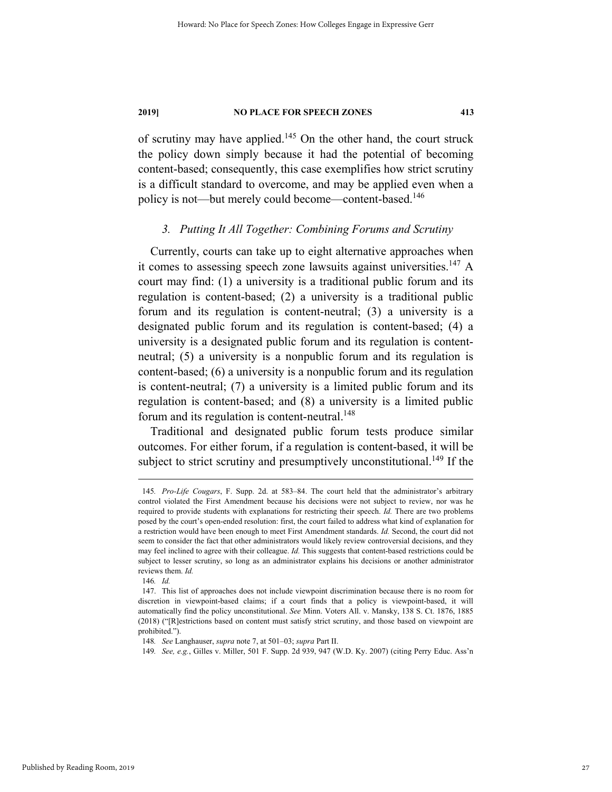of scrutiny may have applied.145 On the other hand, the court struck the policy down simply because it had the potential of becoming content-based; consequently, this case exemplifies how strict scrutiny is a difficult standard to overcome, and may be applied even when a policy is not—but merely could become—content-based.<sup>146</sup>

### *3. Putting It All Together: Combining Forums and Scrutiny*

Currently, courts can take up to eight alternative approaches when it comes to assessing speech zone lawsuits against universities.<sup>147</sup> A court may find: (1) a university is a traditional public forum and its regulation is content-based; (2) a university is a traditional public forum and its regulation is content-neutral; (3) a university is a designated public forum and its regulation is content-based; (4) a university is a designated public forum and its regulation is contentneutral; (5) a university is a nonpublic forum and its regulation is content-based; (6) a university is a nonpublic forum and its regulation is content-neutral; (7) a university is a limited public forum and its regulation is content-based; and (8) a university is a limited public forum and its regulation is content-neutral.<sup>148</sup>

Traditional and designated public forum tests produce similar outcomes. For either forum, if a regulation is content-based, it will be subject to strict scrutiny and presumptively unconstitutional.<sup>149</sup> If the

 <sup>145</sup>*. Pro-Life Cougars*, F. Supp. 2d. at 583–84. The court held that the administrator's arbitrary control violated the First Amendment because his decisions were not subject to review, nor was he required to provide students with explanations for restricting their speech. *Id.* There are two problems posed by the court's open-ended resolution: first, the court failed to address what kind of explanation for a restriction would have been enough to meet First Amendment standards. *Id.* Second, the court did not seem to consider the fact that other administrators would likely review controversial decisions, and they may feel inclined to agree with their colleague. *Id.* This suggests that content-based restrictions could be subject to lesser scrutiny, so long as an administrator explains his decisions or another administrator reviews them. *Id.*

<sup>146</sup>*. Id.*

 <sup>147.</sup> This list of approaches does not include viewpoint discrimination because there is no room for discretion in viewpoint-based claims; if a court finds that a policy is viewpoint-based, it will automatically find the policy unconstitutional. *See* Minn. Voters All. v. Mansky, 138 S. Ct. 1876, 1885 (2018) ("[R]estrictions based on content must satisfy strict scrutiny, and those based on viewpoint are prohibited.").

<sup>148</sup>*. See* Langhauser, *supra* note 7, at 501–03; *supra* Part II.

<sup>149</sup>*. See, e.g.*, Gilles v. Miller, 501 F. Supp. 2d 939, 947 (W.D. Ky. 2007) (citing Perry Educ. Ass'n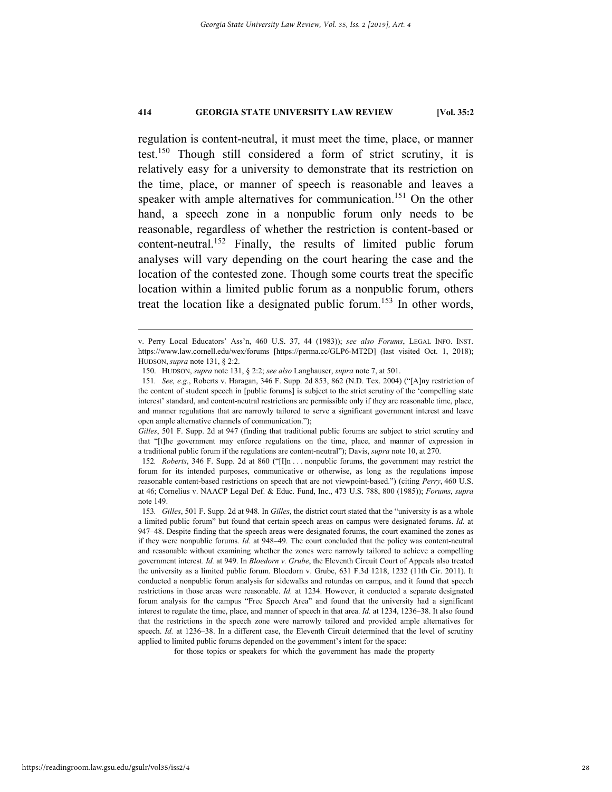regulation is content-neutral, it must meet the time, place, or manner test.150 Though still considered a form of strict scrutiny, it is relatively easy for a university to demonstrate that its restriction on the time, place, or manner of speech is reasonable and leaves a speaker with ample alternatives for communication.<sup>151</sup> On the other hand, a speech zone in a nonpublic forum only needs to be reasonable, regardless of whether the restriction is content-based or content-neutral.152 Finally, the results of limited public forum analyses will vary depending on the court hearing the case and the location of the contested zone. Though some courts treat the specific location within a limited public forum as a nonpublic forum, others treat the location like a designated public forum.<sup>153</sup> In other words,

for those topics or speakers for which the government has made the property

v. Perry Local Educators' Ass'n, 460 U.S. 37, 44 (1983)); *see also Forums*, LEGAL INFO. INST. https://www.law.cornell.edu/wex/forums [https://perma.cc/GLP6-MT2D] (last visited Oct. 1, 2018); HUDSON, *supra* note 131, § 2:2.

 <sup>150.</sup> HUDSON, *supra* note 131, § 2:2; *see also* Langhauser, *supra* note 7, at 501.

<sup>151</sup>*. See, e.g.*, Roberts v. Haragan, 346 F. Supp. 2d 853, 862 (N.D. Tex. 2004) ("[A]ny restriction of the content of student speech in [public forums] is subject to the strict scrutiny of the 'compelling state interest' standard, and content-neutral restrictions are permissible only if they are reasonable time, place, and manner regulations that are narrowly tailored to serve a significant government interest and leave open ample alternative channels of communication.");

*Gilles*, 501 F. Supp. 2d at 947 (finding that traditional public forums are subject to strict scrutiny and that "[t]he government may enforce regulations on the time, place, and manner of expression in a traditional public forum if the regulations are content-neutral"); Davis, *supra* note 10, at 270.

<sup>152</sup>*. Roberts*, 346 F. Supp. 2d at 860 ("[I]n . . . nonpublic forums, the government may restrict the forum for its intended purposes, communicative or otherwise, as long as the regulations impose reasonable content-based restrictions on speech that are not viewpoint-based.") (citing *Perry*, 460 U.S. at 46; Cornelius v. NAACP Legal Def. & Educ. Fund, Inc., 473 U.S. 788, 800 (1985)); *Forums*, *supra*  note 149.

<sup>153</sup>*. Gilles*, 501 F. Supp. 2d at 948. In *Gilles*, the district court stated that the "university is as a whole a limited public forum" but found that certain speech areas on campus were designated forums. *Id.* at 947–48. Despite finding that the speech areas were designated forums, the court examined the zones as if they were nonpublic forums. *Id.* at 948–49. The court concluded that the policy was content-neutral and reasonable without examining whether the zones were narrowly tailored to achieve a compelling government interest. *Id.* at 949. In *Bloedorn v. Grube*, the Eleventh Circuit Court of Appeals also treated the university as a limited public forum. Bloedorn v. Grube, 631 F.3d 1218, 1232 (11th Cir. 2011). It conducted a nonpublic forum analysis for sidewalks and rotundas on campus, and it found that speech restrictions in those areas were reasonable. *Id.* at 1234. However, it conducted a separate designated forum analysis for the campus "Free Speech Area" and found that the university had a significant interest to regulate the time, place, and manner of speech in that area. *Id.* at 1234, 1236–38. It also found that the restrictions in the speech zone were narrowly tailored and provided ample alternatives for speech. *Id.* at 1236–38. In a different case, the Eleventh Circuit determined that the level of scrutiny applied to limited public forums depended on the government's intent for the space: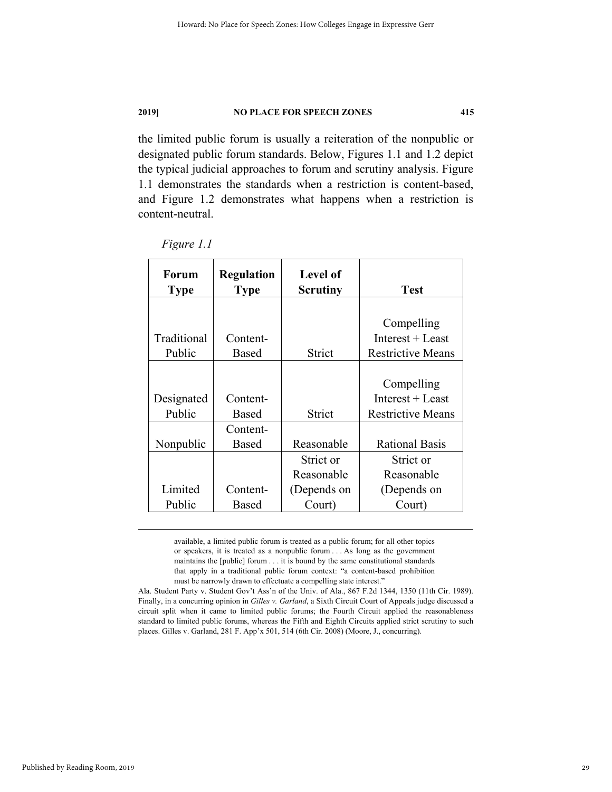the limited public forum is usually a reiteration of the nonpublic or designated public forum standards. Below, Figures 1.1 and 1.2 depict the typical judicial approaches to forum and scrutiny analysis. Figure 1.1 demonstrates the standards when a restriction is content-based, and Figure 1.2 demonstrates what happens when a restriction is content-neutral.

| Forum<br><b>Type</b> | <b>Regulation</b><br><b>Type</b> | <b>Level of</b><br><b>Scrutiny</b> | <b>Test</b>              |
|----------------------|----------------------------------|------------------------------------|--------------------------|
|                      |                                  |                                    |                          |
|                      |                                  |                                    | Compelling               |
| Traditional          | Content-                         |                                    | Interest $+$ Least       |
| Public               | <b>Based</b>                     | Strict                             | <b>Restrictive Means</b> |
|                      |                                  |                                    |                          |
|                      |                                  |                                    | Compelling               |
| Designated           | Content-                         |                                    | Interest $+$ Least       |
| Public               | Based                            | Strict                             | <b>Restrictive Means</b> |
|                      | Content-                         |                                    |                          |
| Nonpublic            | <b>Based</b>                     | Reasonable                         | <b>Rational Basis</b>    |
|                      |                                  | Strict or                          | Strict or                |
|                      |                                  | Reasonable                         | Reasonable               |
| Limited              | Content-                         | (Depends on                        | (Depends on              |
| Public               | Based                            | Court)                             | Court)                   |

*Figure 1.1* 

 available, a limited public forum is treated as a public forum; for all other topics or speakers, it is treated as a nonpublic forum . . . As long as the government maintains the [public] forum . . . it is bound by the same constitutional standards that apply in a traditional public forum context: "a content-based prohibition must be narrowly drawn to effectuate a compelling state interest."

Ala. Student Party v. Student Gov't Ass'n of the Univ. of Ala., 867 F.2d 1344, 1350 (11th Cir. 1989). Finally, in a concurring opinion in *Gilles v. Garland*, a Sixth Circuit Court of Appeals judge discussed a circuit split when it came to limited public forums; the Fourth Circuit applied the reasonableness standard to limited public forums, whereas the Fifth and Eighth Circuits applied strict scrutiny to such places. Gilles v. Garland, 281 F. App'x 501, 514 (6th Cir. 2008) (Moore, J., concurring).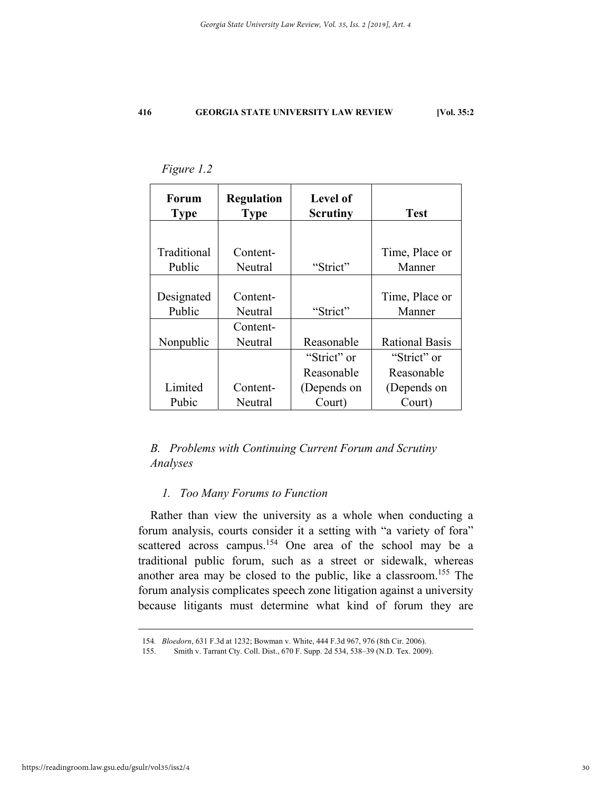| <b>Forum</b><br><b>Type</b> | <b>Regulation</b><br><b>Type</b> | <b>Level of</b><br><b>Scrutiny</b> | <b>Test</b>           |
|-----------------------------|----------------------------------|------------------------------------|-----------------------|
|                             |                                  |                                    |                       |
| Traditional                 | Content-                         |                                    | Time, Place or        |
| Public                      | Neutral                          | "Strict"                           | Manner                |
|                             |                                  |                                    |                       |
| Designated                  | Content-                         |                                    | Time, Place or        |
| Public                      | Neutral                          | "Strict"                           | Manner                |
|                             | Content-                         |                                    |                       |
| Nonpublic                   | Neutral                          | Reasonable                         | <b>Rational Basis</b> |
|                             |                                  | "Strict" or                        | "Strict" or           |
|                             |                                  | Reasonable                         | Reasonable            |
| Limited                     | Content-                         | (Depends on                        | (Depends on           |
| Pubic                       | Neutral                          | Court)                             | Court)                |

*Figure 1.2* 

### *B. Problems with Continuing Current Forum and Scrutiny Analyses*

### *1. Too Many Forums to Function*

Rather than view the university as a whole when conducting a forum analysis, courts consider it a setting with "a variety of fora" scattered across campus.<sup>154</sup> One area of the school may be a traditional public forum, such as a street or sidewalk, whereas another area may be closed to the public, like a classroom.155 The forum analysis complicates speech zone litigation against a university because litigants must determine what kind of forum they are

 <sup>154</sup>*. Bloedorn*, 631 F.3d at 1232; Bowman v. White, 444 F.3d 967, 976 (8th Cir. 2006).

 <sup>155.</sup> Smith v. Tarrant Cty. Coll. Dist., 670 F. Supp. 2d 534, 538–39 (N.D. Tex. 2009).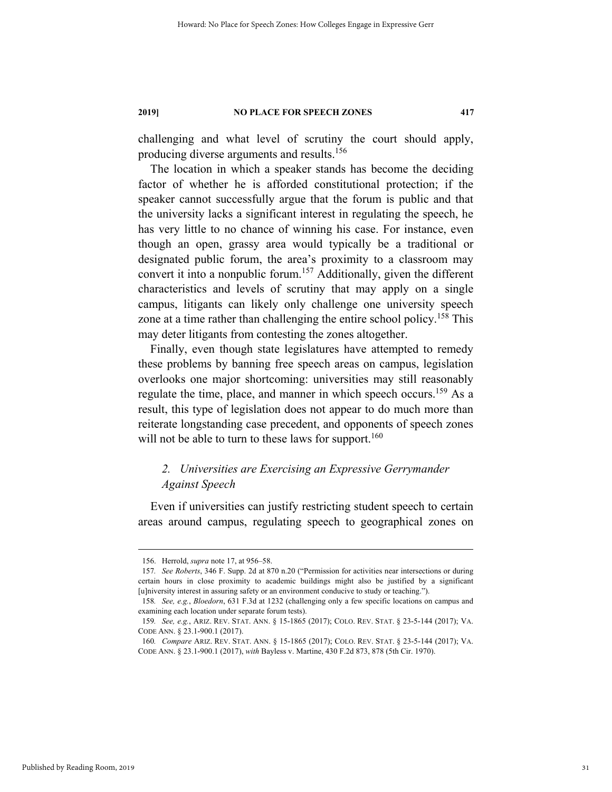challenging and what level of scrutiny the court should apply, producing diverse arguments and results.<sup>156</sup>

The location in which a speaker stands has become the deciding factor of whether he is afforded constitutional protection; if the speaker cannot successfully argue that the forum is public and that the university lacks a significant interest in regulating the speech, he has very little to no chance of winning his case. For instance, even though an open, grassy area would typically be a traditional or designated public forum, the area's proximity to a classroom may convert it into a nonpublic forum.<sup>157</sup> Additionally, given the different characteristics and levels of scrutiny that may apply on a single campus, litigants can likely only challenge one university speech zone at a time rather than challenging the entire school policy.<sup>158</sup> This may deter litigants from contesting the zones altogether.

Finally, even though state legislatures have attempted to remedy these problems by banning free speech areas on campus, legislation overlooks one major shortcoming: universities may still reasonably regulate the time, place, and manner in which speech occurs.<sup>159</sup> As a result, this type of legislation does not appear to do much more than reiterate longstanding case precedent, and opponents of speech zones will not be able to turn to these laws for support.<sup>160</sup>

### *2. Universities are Exercising an Expressive Gerrymander Against Speech*

Even if universities can justify restricting student speech to certain areas around campus, regulating speech to geographical zones on

 <sup>156.</sup> Herrold, *supra* note 17, at 956–58.

<sup>157</sup>*. See Roberts*, 346 F. Supp. 2d at 870 n.20 ("Permission for activities near intersections or during certain hours in close proximity to academic buildings might also be justified by a significant [u]niversity interest in assuring safety or an environment conducive to study or teaching.").

<sup>158</sup>*. See, e.g.*, *Bloedorn*, 631 F.3d at 1232 (challenging only a few specific locations on campus and examining each location under separate forum tests).

<sup>159</sup>*. See, e.g.*, ARIZ. REV. STAT. ANN. § 15-1865 (2017); COLO. REV. STAT. § 23-5-144 (2017); VA. CODE ANN. § 23.1-900.1 (2017).

<sup>160</sup>*. Compare* ARIZ. REV. STAT. ANN. § 15-1865 (2017); COLO. REV. STAT. § 23-5-144 (2017); VA. CODE ANN. § 23.1-900.1 (2017), *with* Bayless v. Martine, 430 F.2d 873, 878 (5th Cir. 1970).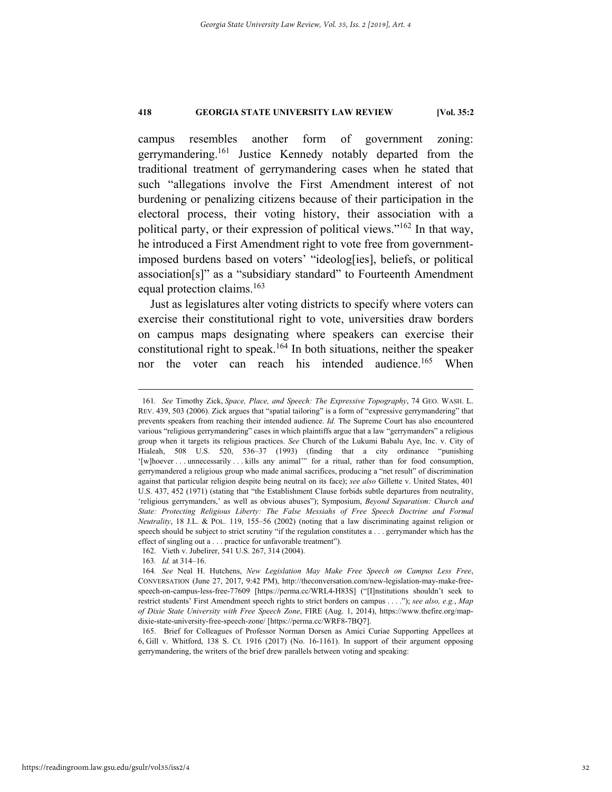campus resembles another form of government zoning: gerrymandering.<sup>161</sup> Justice Kennedy notably departed from the traditional treatment of gerrymandering cases when he stated that such "allegations involve the First Amendment interest of not burdening or penalizing citizens because of their participation in the electoral process, their voting history, their association with a political party, or their expression of political views."162 In that way, he introduced a First Amendment right to vote free from governmentimposed burdens based on voters' "ideolog[ies], beliefs, or political association[s]" as a "subsidiary standard" to Fourteenth Amendment equal protection claims.<sup>163</sup>

Just as legislatures alter voting districts to specify where voters can exercise their constitutional right to vote, universities draw borders on campus maps designating where speakers can exercise their constitutional right to speak.<sup>164</sup> In both situations, neither the speaker nor the voter can reach his intended audience.<sup>165</sup> When

 <sup>161</sup>*. See* Timothy Zick, *Space, Place, and Speech: The Expressive Topography*, 74 GEO. WASH. L. REV. 439, 503 (2006). Zick argues that "spatial tailoring" is a form of "expressive gerrymandering" that prevents speakers from reaching their intended audience. *Id.* The Supreme Court has also encountered various "religious gerrymandering" cases in which plaintiffs argue that a law "gerrymanders" a religious group when it targets its religious practices. *See* Church of the Lukumi Babalu Aye, Inc. v. City of Hialeah, 508 U.S. 520, 536–37 (1993) (finding that a city ordinance "punishing '[w]hoever . . . unnecessarily . . . kills any animal'" for a ritual, rather than for food consumption, gerrymandered a religious group who made animal sacrifices, producing a "net result" of discrimination against that particular religion despite being neutral on its face); *see also* Gillette v. United States, 401 U.S. 437, 452 (1971) (stating that "the Establishment Clause forbids subtle departures from neutrality, 'religious gerrymanders,' as well as obvious abuses"); Symposium, *Beyond Separatism: Church and State: Protecting Religious Liberty: The False Messiahs of Free Speech Doctrine and Formal Neutrality*, 18 J.L. & POL. 119, 155–56 (2002) (noting that a law discriminating against religion or speech should be subject to strict scrutiny "if the regulation constitutes a . . . gerrymander which has the effect of singling out a . . . practice for unfavorable treatment").

 <sup>162.</sup> Vieth v. Jubelirer, 541 U.S. 267, 314 (2004).

<sup>163</sup>*. Id.* at 314–16.

<sup>164</sup>*. See* Neal H. Hutchens, *New Legislation May Make Free Speech on Campus Less Free*, CONVERSATION (June 27, 2017, 9:42 PM), http://theconversation.com/new-legislation-may-make-freespeech-on-campus-less-free-77609 [https://perma.cc/WRL4-H83S] ("[I]nstitutions shouldn't seek to restrict students' First Amendment speech rights to strict borders on campus . . . ."); *see also, e.g.*, *Map of Dixie State University with Free Speech Zone*, FIRE (Aug. 1, 2014), https://www.thefire.org/mapdixie-state-university-free-speech-zone/ [https://perma.cc/WRF8-7BQ7].

 <sup>165.</sup> Brief for Colleagues of Professor Norman Dorsen as Amici Curiae Supporting Appellees at 6, Gill v. Whitford, 138 S. Ct. 1916 (2017) (No. 16-1161). In support of their argument opposing gerrymandering, the writers of the brief drew parallels between voting and speaking: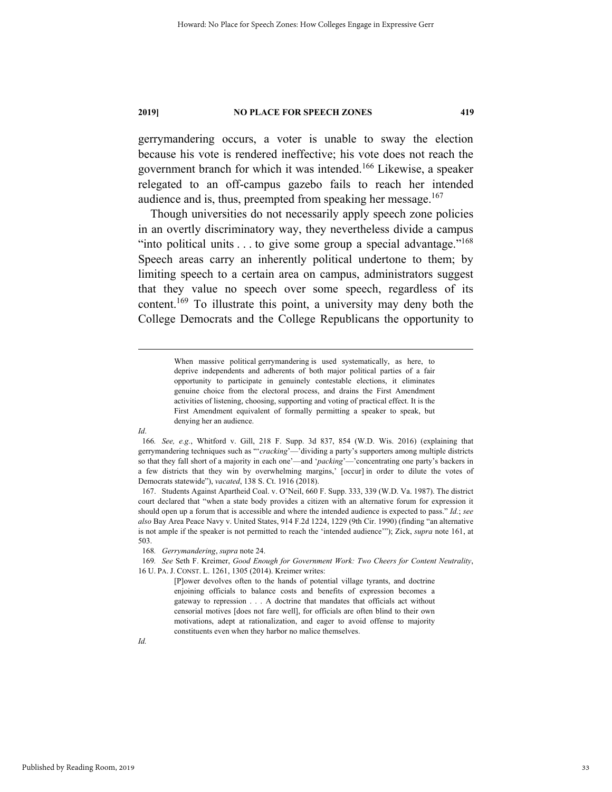gerrymandering occurs, a voter is unable to sway the election because his vote is rendered ineffective; his vote does not reach the government branch for which it was intended.166 Likewise, a speaker relegated to an off-campus gazebo fails to reach her intended audience and is, thus, preempted from speaking her message. $167$ 

Though universities do not necessarily apply speech zone policies in an overtly discriminatory way, they nevertheless divide a campus "into political units  $\dots$  to give some group a special advantage."<sup>168</sup> Speech areas carry an inherently political undertone to them; by limiting speech to a certain area on campus, administrators suggest that they value no speech over some speech, regardless of its content.169 To illustrate this point, a university may deny both the College Democrats and the College Republicans the opportunity to

> When massive political gerrymandering is used systematically, as here, to deprive independents and adherents of both major political parties of a fair opportunity to participate in genuinely contestable elections, it eliminates genuine choice from the electoral process, and drains the First Amendment activities of listening, choosing, supporting and voting of practical effect. It is the First Amendment equivalent of formally permitting a speaker to speak, but denying her an audience.

*Id*.

<sup>166</sup>*. See, e.g.*, Whitford v. Gill, 218 F. Supp. 3d 837, 854 (W.D. Wis. 2016) (explaining that gerrymandering techniques such as "'*cracking*'—'dividing a party's supporters among multiple districts so that they fall short of a majority in each one'—and '*packing*'—'concentrating one party's backers in a few districts that they win by overwhelming margins,' [occur] in order to dilute the votes of Democrats statewide"), *vacated*, 138 S. Ct. 1916 (2018).

 <sup>167.</sup> Students Against Apartheid Coal. v. O'Neil, 660 F. Supp. 333, 339 (W.D. Va. 1987). The district court declared that "when a state body provides a citizen with an alternative forum for expression it should open up a forum that is accessible and where the intended audience is expected to pass." *Id.*; *see also* Bay Area Peace Navy v. United States, 914 F.2d 1224, 1229 (9th Cir. 1990) (finding "an alternative is not ample if the speaker is not permitted to reach the 'intended audience'"); Zick, *supra* note 161, at 503.

<sup>168</sup>*. Gerrymandering*, *supra* note 24.

<sup>169</sup>*. See* Seth F. Kreimer, *Good Enough for Government Work: Two Cheers for Content Neutrality*, 16 U. PA. J. CONST. L. 1261, 1305 (2014). Kreimer writes:

<sup>[</sup>P]ower devolves often to the hands of potential village tyrants, and doctrine enjoining officials to balance costs and benefits of expression becomes a gateway to repression . . . A doctrine that mandates that officials act without censorial motives [does not fare well], for officials are often blind to their own motivations, adept at rationalization, and eager to avoid offense to majority constituents even when they harbor no malice themselves.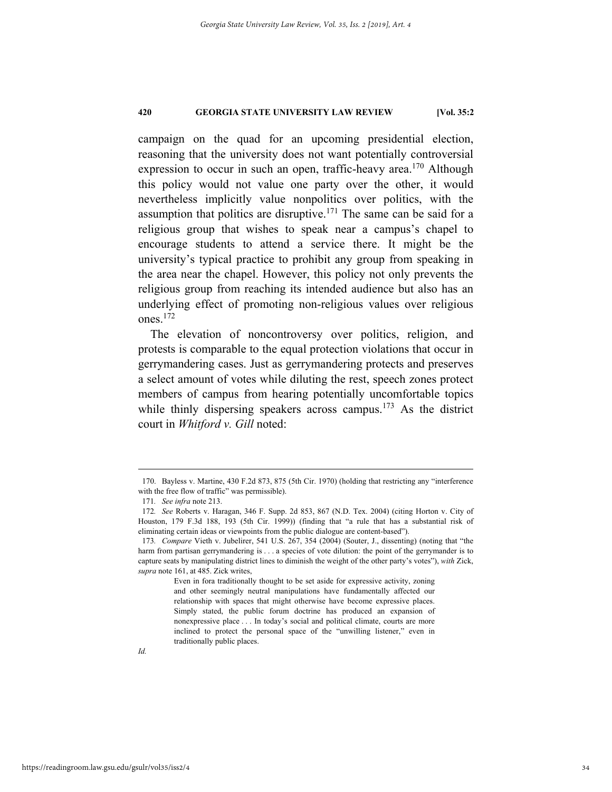campaign on the quad for an upcoming presidential election, reasoning that the university does not want potentially controversial expression to occur in such an open, traffic-heavy area.<sup>170</sup> Although this policy would not value one party over the other, it would nevertheless implicitly value nonpolitics over politics, with the assumption that politics are disruptive.<sup>171</sup> The same can be said for a religious group that wishes to speak near a campus's chapel to encourage students to attend a service there. It might be the university's typical practice to prohibit any group from speaking in the area near the chapel. However, this policy not only prevents the religious group from reaching its intended audience but also has an underlying effect of promoting non-religious values over religious ones.172

The elevation of noncontroversy over politics, religion, and protests is comparable to the equal protection violations that occur in gerrymandering cases. Just as gerrymandering protects and preserves a select amount of votes while diluting the rest, speech zones protect members of campus from hearing potentially uncomfortable topics while thinly dispersing speakers across campus.<sup>173</sup> As the district court in *Whitford v. Gill* noted:

 <sup>170.</sup> Bayless v. Martine, 430 F.2d 873, 875 (5th Cir. 1970) (holding that restricting any "interference with the free flow of traffic" was permissible).

<sup>171</sup>*. See infra* note 213.

<sup>172</sup>*. See* Roberts v. Haragan, 346 F. Supp. 2d 853, 867 (N.D. Tex. 2004) (citing Horton v. City of Houston, 179 F.3d 188, 193 (5th Cir. 1999)) (finding that "a rule that has a substantial risk of eliminating certain ideas or viewpoints from the public dialogue are content-based").

<sup>173</sup>*. Compare* Vieth v. Jubelirer, 541 U.S. 267, 354 (2004) (Souter, J., dissenting) (noting that "the harm from partisan gerrymandering is . . . a species of vote dilution: the point of the gerrymander is to capture seats by manipulating district lines to diminish the weight of the other party's votes"), *with* Zick, *supra* note 161, at 485. Zick writes,

Even in fora traditionally thought to be set aside for expressive activity, zoning and other seemingly neutral manipulations have fundamentally affected our relationship with spaces that might otherwise have become expressive places. Simply stated, the public forum doctrine has produced an expansion of nonexpressive place . . . In today's social and political climate, courts are more inclined to protect the personal space of the "unwilling listener," even in traditionally public places.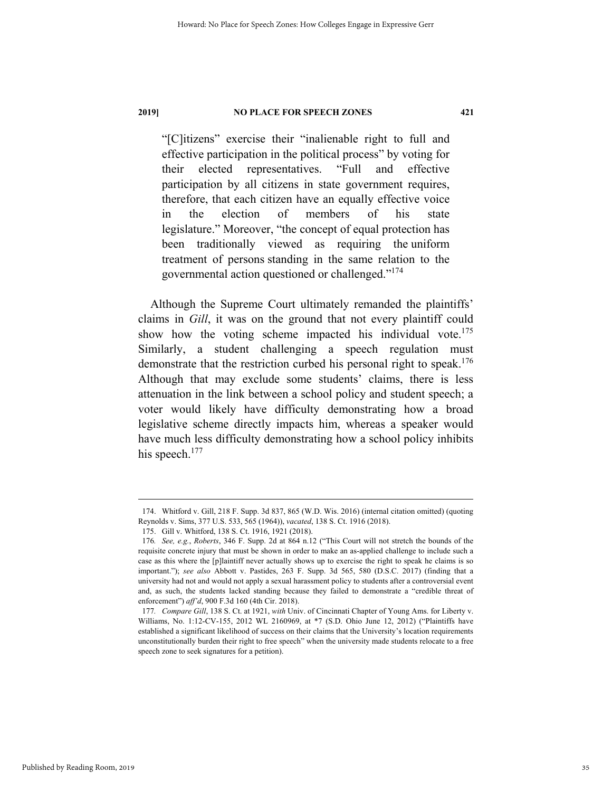"[C]itizens" exercise their "inalienable right to full and effective participation in the political process" by voting for their elected representatives. "Full and effective participation by all citizens in state government requires, therefore, that each citizen have an equally effective voice in the election of members of his state legislature." Moreover, "the concept of equal protection has been traditionally viewed as requiring the uniform treatment of persons standing in the same relation to the governmental action questioned or challenged."174

Although the Supreme Court ultimately remanded the plaintiffs' claims in *Gill*, it was on the ground that not every plaintiff could show how the voting scheme impacted his individual vote.<sup>175</sup> Similarly, a student challenging a speech regulation must demonstrate that the restriction curbed his personal right to speak.<sup>176</sup> Although that may exclude some students' claims, there is less attenuation in the link between a school policy and student speech; a voter would likely have difficulty demonstrating how a broad legislative scheme directly impacts him, whereas a speaker would have much less difficulty demonstrating how a school policy inhibits his speech.<sup>177</sup>

 <sup>174.</sup> Whitford v. Gill, 218 F. Supp. 3d 837, 865 (W.D. Wis. 2016) (internal citation omitted) (quoting Reynolds v. Sims, 377 U.S. 533, 565 (1964)), *vacated*, 138 S. Ct. 1916 (2018).

 <sup>175.</sup> Gill v. Whitford, 138 S. Ct. 1916, 1921 (2018).

<sup>176</sup>*. See, e.g.*, *Roberts*, 346 F. Supp. 2d at 864 n.12 ("This Court will not stretch the bounds of the requisite concrete injury that must be shown in order to make an as-applied challenge to include such a case as this where the [p]laintiff never actually shows up to exercise the right to speak he claims is so important."); *see also* Abbott v. Pastides, 263 F. Supp. 3d 565, 580 (D.S.C. 2017) (finding that a university had not and would not apply a sexual harassment policy to students after a controversial event and, as such, the students lacked standing because they failed to demonstrate a "credible threat of enforcement") *aff'd*, 900 F.3d 160 (4th Cir. 2018).

<sup>177</sup>*. Compare Gill*, 138 S. Ct. at 1921, *with* Univ. of Cincinnati Chapter of Young Ams. for Liberty v. Williams, No. 1:12-CV-155, 2012 WL 2160969, at \*7 (S.D. Ohio June 12, 2012) ("Plaintiffs have established a significant likelihood of success on their claims that the University's location requirements unconstitutionally burden their right to free speech" when the university made students relocate to a free speech zone to seek signatures for a petition).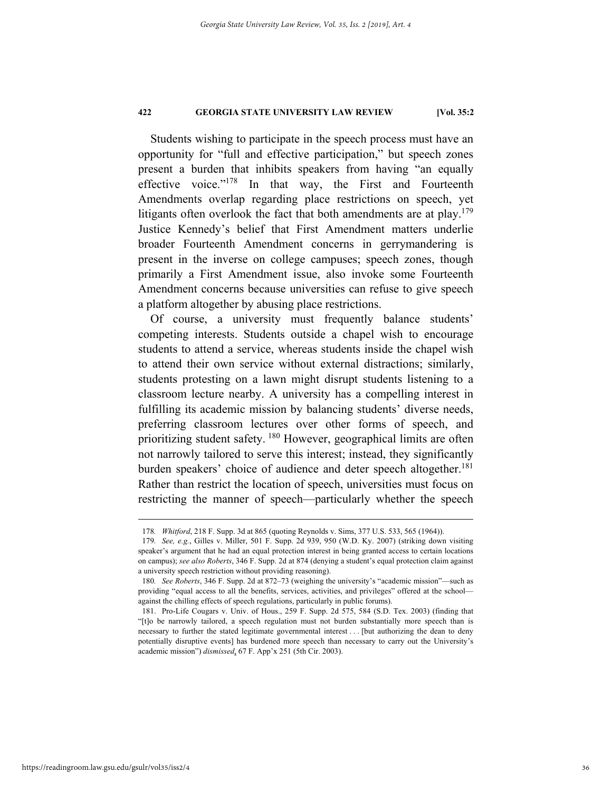Students wishing to participate in the speech process must have an opportunity for "full and effective participation," but speech zones present a burden that inhibits speakers from having "an equally effective voice."178 In that way, the First and Fourteenth Amendments overlap regarding place restrictions on speech, yet litigants often overlook the fact that both amendments are at  $play.<sup>179</sup>$ Justice Kennedy's belief that First Amendment matters underlie broader Fourteenth Amendment concerns in gerrymandering is present in the inverse on college campuses; speech zones, though primarily a First Amendment issue, also invoke some Fourteenth Amendment concerns because universities can refuse to give speech a platform altogether by abusing place restrictions.

Of course, a university must frequently balance students' competing interests. Students outside a chapel wish to encourage students to attend a service, whereas students inside the chapel wish to attend their own service without external distractions; similarly, students protesting on a lawn might disrupt students listening to a classroom lecture nearby. A university has a compelling interest in fulfilling its academic mission by balancing students' diverse needs, preferring classroom lectures over other forms of speech, and prioritizing student safety. <sup>180</sup> However, geographical limits are often not narrowly tailored to serve this interest; instead, they significantly burden speakers' choice of audience and deter speech altogether.<sup>181</sup> Rather than restrict the location of speech, universities must focus on restricting the manner of speech—particularly whether the speech

 <sup>178</sup>*. Whitford*, 218 F. Supp. 3d at 865 (quoting Reynolds v. Sims, 377 U.S. 533, 565 (1964)).

<sup>179</sup>*. See, e.g.*, Gilles v. Miller, 501 F. Supp. 2d 939, 950 (W.D. Ky. 2007) (striking down visiting speaker's argument that he had an equal protection interest in being granted access to certain locations on campus); *see also Roberts*, 346 F. Supp. 2d at 874 (denying a student's equal protection claim against a university speech restriction without providing reasoning).

<sup>180</sup>*. See Roberts*, 346 F. Supp. 2d at 872–73 (weighing the university's "academic mission"—such as providing "equal access to all the benefits, services, activities, and privileges" offered at the school against the chilling effects of speech regulations, particularly in public forums).

 <sup>181.</sup> Pro-Life Cougars v. Univ. of Hous., 259 F. Supp. 2d 575, 584 (S.D. Tex. 2003) (finding that "[t]o be narrowly tailored, a speech regulation must not burden substantially more speech than is necessary to further the stated legitimate governmental interest . . . [but authorizing the dean to deny potentially disruptive events] has burdened more speech than necessary to carry out the University's academic mission") *dismissed*, 67 F. App'x 251 (5th Cir. 2003).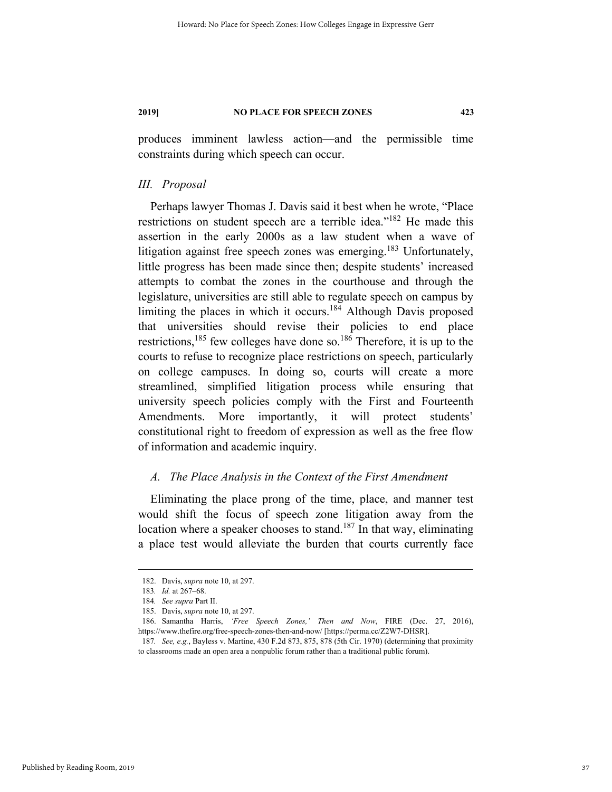produces imminent lawless action—and the permissible time constraints during which speech can occur.

### *III. Proposal*

Perhaps lawyer Thomas J. Davis said it best when he wrote, "Place restrictions on student speech are a terrible idea."<sup>182</sup> He made this assertion in the early 2000s as a law student when a wave of litigation against free speech zones was emerging.<sup>183</sup> Unfortunately, little progress has been made since then; despite students' increased attempts to combat the zones in the courthouse and through the legislature, universities are still able to regulate speech on campus by limiting the places in which it occurs.184 Although Davis proposed that universities should revise their policies to end place restrictions,<sup>185</sup> few colleges have done so.<sup>186</sup> Therefore, it is up to the courts to refuse to recognize place restrictions on speech, particularly on college campuses. In doing so, courts will create a more streamlined, simplified litigation process while ensuring that university speech policies comply with the First and Fourteenth Amendments. More importantly, it will protect students' constitutional right to freedom of expression as well as the free flow of information and academic inquiry.

### *A. The Place Analysis in the Context of the First Amendment*

Eliminating the place prong of the time, place, and manner test would shift the focus of speech zone litigation away from the location where a speaker chooses to stand.<sup>187</sup> In that way, eliminating a place test would alleviate the burden that courts currently face

 <sup>182.</sup> Davis, *supra* note 10, at 297.

<sup>183</sup>*. Id.* at 267–68.

<sup>184</sup>*. See supra* Part II.

 <sup>185.</sup> Davis, *supra* note 10, at 297.

 <sup>186.</sup> Samantha Harris, *'Free Speech Zones,' Then and Now*, FIRE (Dec. 27, 2016), https://www.thefire.org/free-speech-zones-then-and-now/ [https://perma.cc/Z2W7-DHSR].

<sup>187</sup>*. See, e.g.*, Bayless v. Martine, 430 F.2d 873, 875, 878 (5th Cir. 1970) (determining that proximity to classrooms made an open area a nonpublic forum rather than a traditional public forum).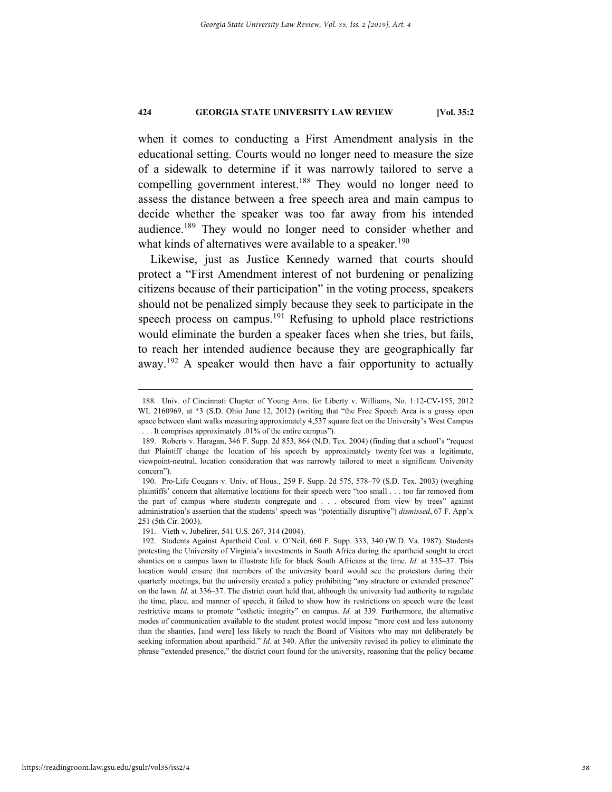when it comes to conducting a First Amendment analysis in the educational setting. Courts would no longer need to measure the size of a sidewalk to determine if it was narrowly tailored to serve a compelling government interest.<sup>188</sup> They would no longer need to assess the distance between a free speech area and main campus to decide whether the speaker was too far away from his intended audience.<sup>189</sup> They would no longer need to consider whether and what kinds of alternatives were available to a speaker.<sup>190</sup>

Likewise, just as Justice Kennedy warned that courts should protect a "First Amendment interest of not burdening or penalizing citizens because of their participation" in the voting process, speakers should not be penalized simply because they seek to participate in the speech process on campus.<sup>191</sup> Refusing to uphold place restrictions would eliminate the burden a speaker faces when she tries, but fails, to reach her intended audience because they are geographically far away.<sup>192</sup> A speaker would then have a fair opportunity to actually

 <sup>188.</sup> Univ. of Cincinnati Chapter of Young Ams. for Liberty v. Williams, No. 1:12-CV-155, 2012 WL 2160969, at \*3 (S.D. Ohio June 12, 2012) (writing that "the Free Speech Area is a grassy open space between slant walks measuring approximately 4,537 square feet on the University's West Campus . . . . It comprises approximately .01% of the entire campus").

 <sup>189.</sup> Roberts v. Haragan, 346 F. Supp. 2d 853, 864 (N.D. Tex. 2004) (finding that a school's "request that Plaintiff change the location of his speech by approximately twenty feet was a legitimate, viewpoint-neutral, location consideration that was narrowly tailored to meet a significant University concern").

 <sup>190.</sup> Pro-Life Cougars v. Univ. of Hous., 259 F. Supp. 2d 575, 578–79 (S.D. Tex. 2003) (weighing plaintiffs' concern that alternative locations for their speech were "too small . . . too far removed from the part of campus where students congregate and . . . obscured from view by trees" against administration's assertion that the students' speech was "potentially disruptive") *dismissed*, 67 F. App'x 251 (5th Cir. 2003).

 <sup>191.</sup> Vieth v. Jubelirer, 541 U.S. 267, 314 (2004).

 <sup>192.</sup> Students Against Apartheid Coal. v. O'Neil, 660 F. Supp. 333, 340 (W.D. Va. 1987). Students protesting the University of Virginia's investments in South Africa during the apartheid sought to erect shanties on a campus lawn to illustrate life for black South Africans at the time. *Id.* at 335–37. This location would ensure that members of the university board would see the protestors during their quarterly meetings, but the university created a policy prohibiting "any structure or extended presence" on the lawn. *Id.* at 336–37. The district court held that, although the university had authority to regulate the time, place, and manner of speech, it failed to show how its restrictions on speech were the least restrictive means to promote "esthetic integrity" on campus. *Id.* at 339. Furthermore, the alternative modes of communication available to the student protest would impose "more cost and less autonomy than the shanties, [and were] less likely to reach the Board of Visitors who may not deliberately be seeking information about apartheid." *Id.* at 340. After the university revised its policy to eliminate the phrase "extended presence," the district court found for the university, reasoning that the policy became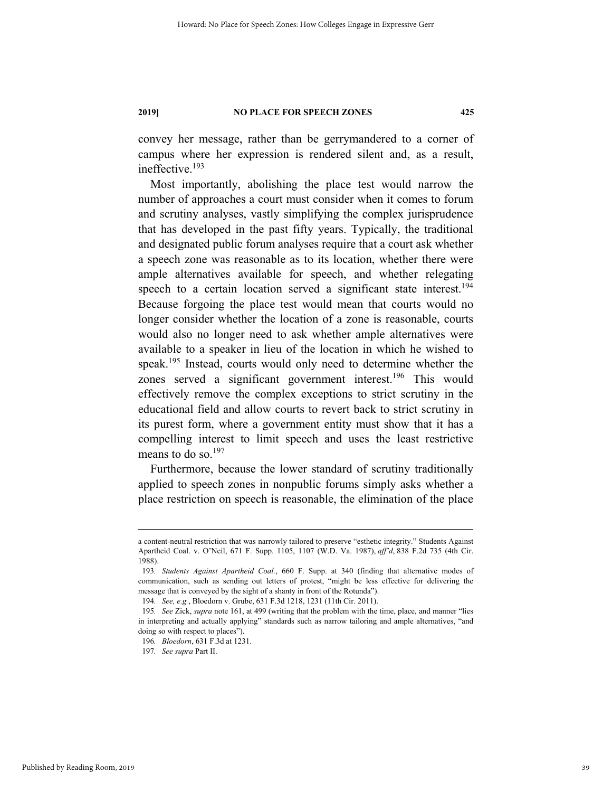convey her message, rather than be gerrymandered to a corner of campus where her expression is rendered silent and, as a result, ineffective.193

Most importantly, abolishing the place test would narrow the number of approaches a court must consider when it comes to forum and scrutiny analyses, vastly simplifying the complex jurisprudence that has developed in the past fifty years. Typically, the traditional and designated public forum analyses require that a court ask whether a speech zone was reasonable as to its location, whether there were ample alternatives available for speech, and whether relegating speech to a certain location served a significant state interest.<sup>194</sup> Because forgoing the place test would mean that courts would no longer consider whether the location of a zone is reasonable, courts would also no longer need to ask whether ample alternatives were available to a speaker in lieu of the location in which he wished to speak.<sup>195</sup> Instead, courts would only need to determine whether the zones served a significant government interest.<sup>196</sup> This would effectively remove the complex exceptions to strict scrutiny in the educational field and allow courts to revert back to strict scrutiny in its purest form, where a government entity must show that it has a compelling interest to limit speech and uses the least restrictive means to do so.<sup>197</sup>

Furthermore, because the lower standard of scrutiny traditionally applied to speech zones in nonpublic forums simply asks whether a place restriction on speech is reasonable, the elimination of the place

a content-neutral restriction that was narrowly tailored to preserve "esthetic integrity." Students Against Apartheid Coal. v. O'Neil, 671 F. Supp. 1105, 1107 (W.D. Va. 1987), *aff'd*, 838 F.2d 735 (4th Cir. 1988).

<sup>193</sup>*. Students Against Apartheid Coal.*, 660 F. Supp. at 340 (finding that alternative modes of communication, such as sending out letters of protest, "might be less effective for delivering the message that is conveyed by the sight of a shanty in front of the Rotunda").

<sup>194</sup>*. See, e.g.*, Bloedorn v. Grube, 631 F.3d 1218, 1231 (11th Cir. 2011).

<sup>195</sup>*. See* Zick, *supra* note 161, at 499 (writing that the problem with the time, place, and manner "lies in interpreting and actually applying" standards such as narrow tailoring and ample alternatives, "and doing so with respect to places").

<sup>196</sup>*. Bloedorn*, 631 F.3d at 1231.

<sup>197</sup>*. See supra* Part II.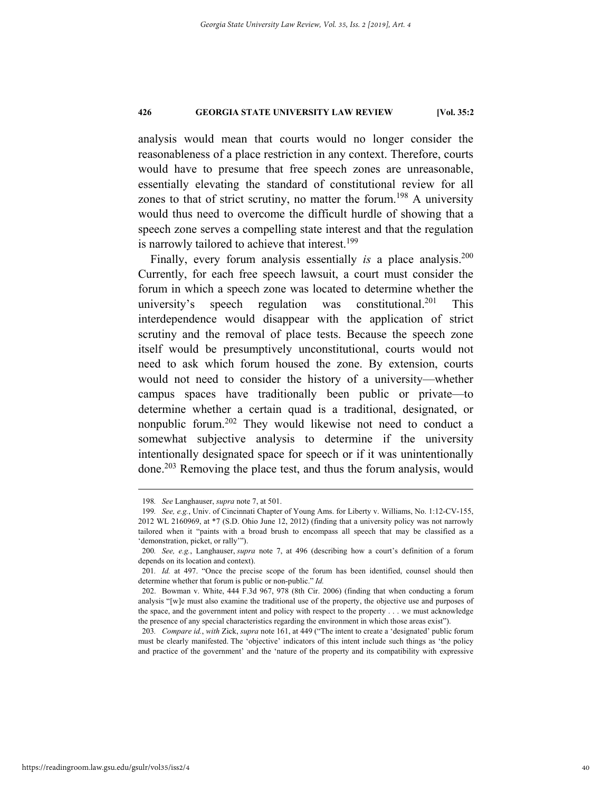analysis would mean that courts would no longer consider the reasonableness of a place restriction in any context. Therefore, courts would have to presume that free speech zones are unreasonable, essentially elevating the standard of constitutional review for all zones to that of strict scrutiny, no matter the forum.<sup>198</sup> A university would thus need to overcome the difficult hurdle of showing that a speech zone serves a compelling state interest and that the regulation is narrowly tailored to achieve that interest.<sup>199</sup>

Finally, every forum analysis essentially *is* a place analysis.<sup>200</sup> Currently, for each free speech lawsuit, a court must consider the forum in which a speech zone was located to determine whether the university's speech regulation was constitutional.<sup>201</sup> This interdependence would disappear with the application of strict scrutiny and the removal of place tests. Because the speech zone itself would be presumptively unconstitutional, courts would not need to ask which forum housed the zone. By extension, courts would not need to consider the history of a university—whether campus spaces have traditionally been public or private—to determine whether a certain quad is a traditional, designated, or nonpublic forum.202 They would likewise not need to conduct a somewhat subjective analysis to determine if the university intentionally designated space for speech or if it was unintentionally done.203 Removing the place test, and thus the forum analysis, would

 <sup>198</sup>*. See* Langhauser, *supra* note 7, at 501.

<sup>199</sup>*. See, e.g.*, Univ. of Cincinnati Chapter of Young Ams. for Liberty v. Williams, No. 1:12-CV-155, 2012 WL 2160969, at \*7 (S.D. Ohio June 12, 2012) (finding that a university policy was not narrowly tailored when it "paints with a broad brush to encompass all speech that may be classified as a 'demonstration, picket, or rally'").

<sup>200</sup>*. See, e.g.*, Langhauser, *supra* note 7, at 496 (describing how a court's definition of a forum depends on its location and context).

<sup>201</sup>*. Id.* at 497. "Once the precise scope of the forum has been identified, counsel should then determine whether that forum is public or non-public." *Id.*

 <sup>202.</sup> Bowman v. White, 444 F.3d 967, 978 (8th Cir. 2006) (finding that when conducting a forum analysis "[w]e must also examine the traditional use of the property, the objective use and purposes of the space, and the government intent and policy with respect to the property . . . we must acknowledge the presence of any special characteristics regarding the environment in which those areas exist").

<sup>203</sup>*. Compare id.*, *with* Zick, *supra* note 161, at 449 ("The intent to create a 'designated' public forum must be clearly manifested. The 'objective' indicators of this intent include such things as 'the policy and practice of the government' and the 'nature of the property and its compatibility with expressive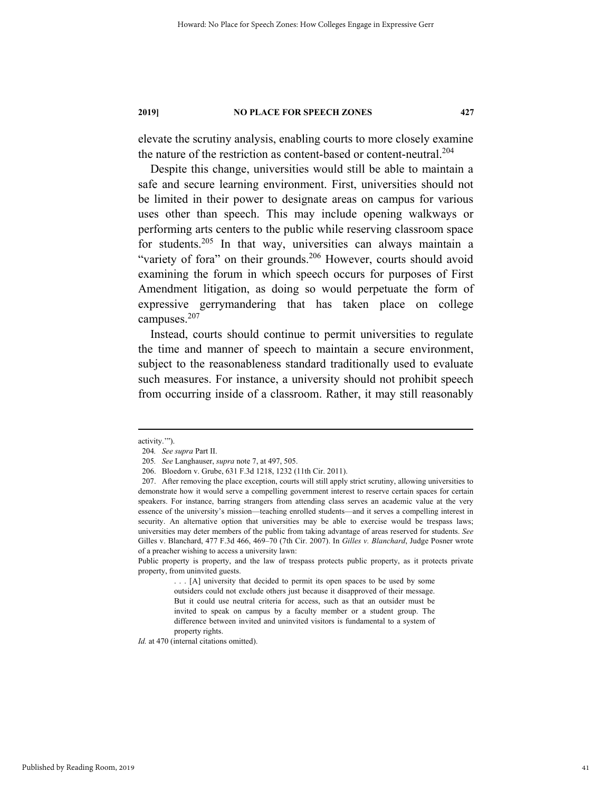elevate the scrutiny analysis, enabling courts to more closely examine the nature of the restriction as content-based or content-neutral.204

Despite this change, universities would still be able to maintain a safe and secure learning environment. First, universities should not be limited in their power to designate areas on campus for various uses other than speech. This may include opening walkways or performing arts centers to the public while reserving classroom space for students.205 In that way, universities can always maintain a "variety of fora" on their grounds.<sup>206</sup> However, courts should avoid examining the forum in which speech occurs for purposes of First Amendment litigation, as doing so would perpetuate the form of expressive gerrymandering that has taken place on college campuses.<sup>207</sup>

Instead, courts should continue to permit universities to regulate the time and manner of speech to maintain a secure environment, subject to the reasonableness standard traditionally used to evaluate such measures. For instance, a university should not prohibit speech from occurring inside of a classroom. Rather, it may still reasonably

*Id.* at 470 (internal citations omitted).

activity.'").

<sup>204</sup>*. See supra* Part II.

<sup>205</sup>*. See* Langhauser, *supra* note 7, at 497, 505.

 <sup>206.</sup> Bloedorn v. Grube, 631 F.3d 1218, 1232 (11th Cir. 2011).

 <sup>207.</sup> After removing the place exception, courts will still apply strict scrutiny, allowing universities to demonstrate how it would serve a compelling government interest to reserve certain spaces for certain speakers. For instance, barring strangers from attending class serves an academic value at the very essence of the university's mission—teaching enrolled students—and it serves a compelling interest in security. An alternative option that universities may be able to exercise would be trespass laws; universities may deter members of the public from taking advantage of areas reserved for students. *See* Gilles v. Blanchard, 477 F.3d 466, 469–70 (7th Cir. 2007). In *Gilles v. Blanchard*, Judge Posner wrote of a preacher wishing to access a university lawn:

Public property is property, and the law of trespass protects public property, as it protects private property, from uninvited guests.

<sup>. . . [</sup>A] university that decided to permit its open spaces to be used by some outsiders could not exclude others just because it disapproved of their message. But it could use neutral criteria for access, such as that an outsider must be invited to speak on campus by a faculty member or a student group. The difference between invited and uninvited visitors is fundamental to a system of property rights.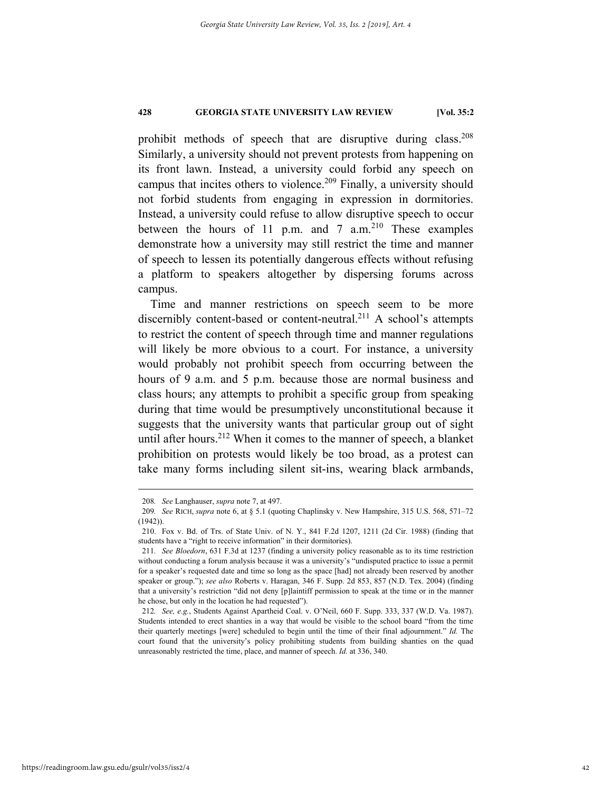prohibit methods of speech that are disruptive during class.<sup>208</sup> Similarly, a university should not prevent protests from happening on its front lawn. Instead, a university could forbid any speech on campus that incites others to violence.<sup>209</sup> Finally, a university should not forbid students from engaging in expression in dormitories. Instead, a university could refuse to allow disruptive speech to occur between the hours of 11 p.m. and 7  $a.m.<sup>210</sup>$  These examples demonstrate how a university may still restrict the time and manner of speech to lessen its potentially dangerous effects without refusing a platform to speakers altogether by dispersing forums across campus.

Time and manner restrictions on speech seem to be more discernibly content-based or content-neutral.<sup>211</sup> A school's attempts to restrict the content of speech through time and manner regulations will likely be more obvious to a court. For instance, a university would probably not prohibit speech from occurring between the hours of 9 a.m. and 5 p.m. because those are normal business and class hours; any attempts to prohibit a specific group from speaking during that time would be presumptively unconstitutional because it suggests that the university wants that particular group out of sight until after hours.<sup>212</sup> When it comes to the manner of speech, a blanket prohibition on protests would likely be too broad, as a protest can take many forms including silent sit-ins, wearing black armbands,

 <sup>208</sup>*. See* Langhauser, *supra* note 7, at 497.

<sup>209</sup>*. See* RICH, *supra* note 6, at § 5.1 (quoting Chaplinsky v. New Hampshire, 315 U.S. 568, 571–72  $(1942)$ 

 <sup>210.</sup> Fox v. Bd. of Trs. of State Univ. of N. Y., 841 F.2d 1207, 1211 (2d Cir. 1988) (finding that students have a "right to receive information" in their dormitories).

<sup>211</sup>*. See Bloedorn*, 631 F.3d at 1237 (finding a university policy reasonable as to its time restriction without conducting a forum analysis because it was a university's "undisputed practice to issue a permit for a speaker's requested date and time so long as the space [had] not already been reserved by another speaker or group."); *see also* Roberts v. Haragan, 346 F. Supp. 2d 853, 857 (N.D. Tex. 2004) (finding that a university's restriction "did not deny [p]laintiff permission to speak at the time or in the manner he chose, but only in the location he had requested").

<sup>212</sup>*. See, e.g.*, Students Against Apartheid Coal. v. O'Neil, 660 F. Supp. 333, 337 (W.D. Va. 1987). Students intended to erect shanties in a way that would be visible to the school board "from the time their quarterly meetings [were] scheduled to begin until the time of their final adjournment." *Id.* The court found that the university's policy prohibiting students from building shanties on the quad unreasonably restricted the time, place, and manner of speech. *Id.* at 336, 340.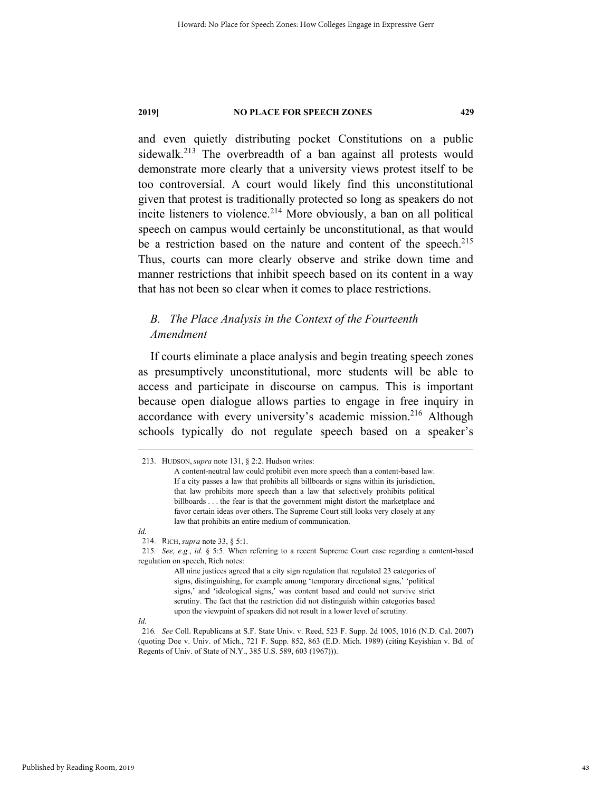and even quietly distributing pocket Constitutions on a public sidewalk.<sup>213</sup> The overbreadth of a ban against all protests would demonstrate more clearly that a university views protest itself to be too controversial. A court would likely find this unconstitutional given that protest is traditionally protected so long as speakers do not incite listeners to violence.<sup>214</sup> More obviously, a ban on all political speech on campus would certainly be unconstitutional, as that would be a restriction based on the nature and content of the speech.<sup>215</sup> Thus, courts can more clearly observe and strike down time and manner restrictions that inhibit speech based on its content in a way that has not been so clear when it comes to place restrictions.

### *B. The Place Analysis in the Context of the Fourteenth Amendment*

If courts eliminate a place analysis and begin treating speech zones as presumptively unconstitutional, more students will be able to access and participate in discourse on campus. This is important because open dialogue allows parties to engage in free inquiry in accordance with every university's academic mission.<sup>216</sup> Although schools typically do not regulate speech based on a speaker's

*Id.*

*Id.*

 <sup>213.</sup> HUDSON, *supra* note 131, § 2:2. Hudson writes:

A content-neutral law could prohibit even more speech than a content-based law. If a city passes a law that prohibits all billboards or signs within its jurisdiction, that law prohibits more speech than a law that selectively prohibits political billboards . . . the fear is that the government might distort the marketplace and favor certain ideas over others. The Supreme Court still looks very closely at any law that prohibits an entire medium of communication.

 <sup>214.</sup> RICH, *supra* note 33, § 5:1.

<sup>215</sup>*. See, e.g.*, *id.* § 5:5. When referring to a recent Supreme Court case regarding a content-based regulation on speech, Rich notes:

All nine justices agreed that a city sign regulation that regulated 23 categories of signs, distinguishing, for example among 'temporary directional signs,' 'political signs,' and 'ideological signs,' was content based and could not survive strict scrutiny. The fact that the restriction did not distinguish within categories based upon the viewpoint of speakers did not result in a lower level of scrutiny.

<sup>216</sup>*. See* Coll. Republicans at S.F. State Univ. v. Reed, 523 F. Supp. 2d 1005, 1016 (N.D. Cal. 2007) (quoting Doe v. Univ. of Mich., 721 F. Supp. 852, 863 (E.D. Mich. 1989) (citing Keyishian v. Bd. of Regents of Univ. of State of N.Y., 385 U.S. 589, 603 (1967))).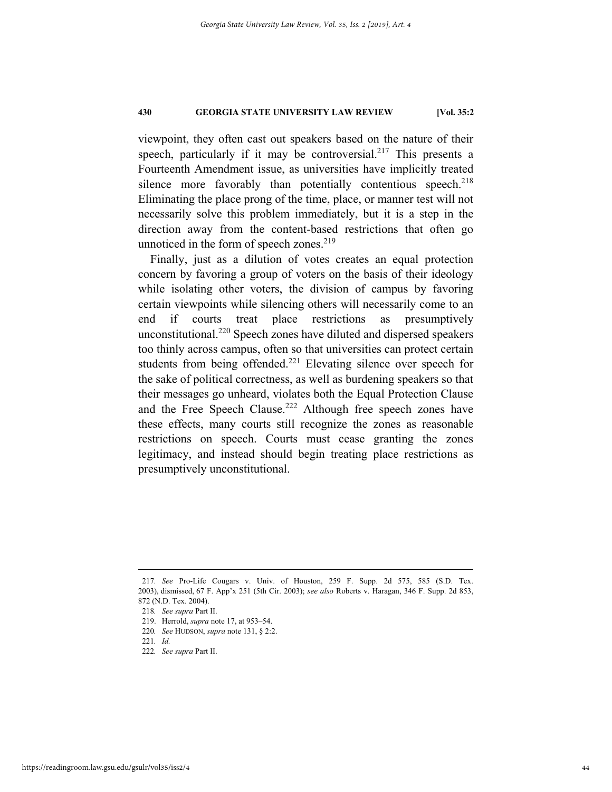viewpoint, they often cast out speakers based on the nature of their speech, particularly if it may be controversial.<sup>217</sup> This presents a Fourteenth Amendment issue, as universities have implicitly treated silence more favorably than potentially contentious speech. $218$ Eliminating the place prong of the time, place, or manner test will not necessarily solve this problem immediately, but it is a step in the direction away from the content-based restrictions that often go unnoticed in the form of speech zones. $219$ 

Finally, just as a dilution of votes creates an equal protection concern by favoring a group of voters on the basis of their ideology while isolating other voters, the division of campus by favoring certain viewpoints while silencing others will necessarily come to an end if courts treat place restrictions as presumptively unconstitutional.<sup>220</sup> Speech zones have diluted and dispersed speakers too thinly across campus, often so that universities can protect certain students from being offended.<sup>221</sup> Elevating silence over speech for the sake of political correctness, as well as burdening speakers so that their messages go unheard, violates both the Equal Protection Clause and the Free Speech Clause.<sup>222</sup> Although free speech zones have these effects, many courts still recognize the zones as reasonable restrictions on speech. Courts must cease granting the zones legitimacy, and instead should begin treating place restrictions as presumptively unconstitutional.

 <sup>217</sup>*. See* Pro-Life Cougars v. Univ. of Houston, 259 F. Supp. 2d 575, 585 (S.D. Tex. 2003), dismissed, 67 F. App'x 251 (5th Cir. 2003); *see also* Roberts v. Haragan, 346 F. Supp. 2d 853, 872 (N.D. Tex. 2004).

<sup>218</sup>*. See supra* Part II.

 <sup>219.</sup> Herrold, *supra* note 17, at 953–54.

<sup>220</sup>*. See* HUDSON, *supra* note 131, § 2:2.

<sup>221</sup>*. Id.*

<sup>222</sup>*. See supra* Part II.